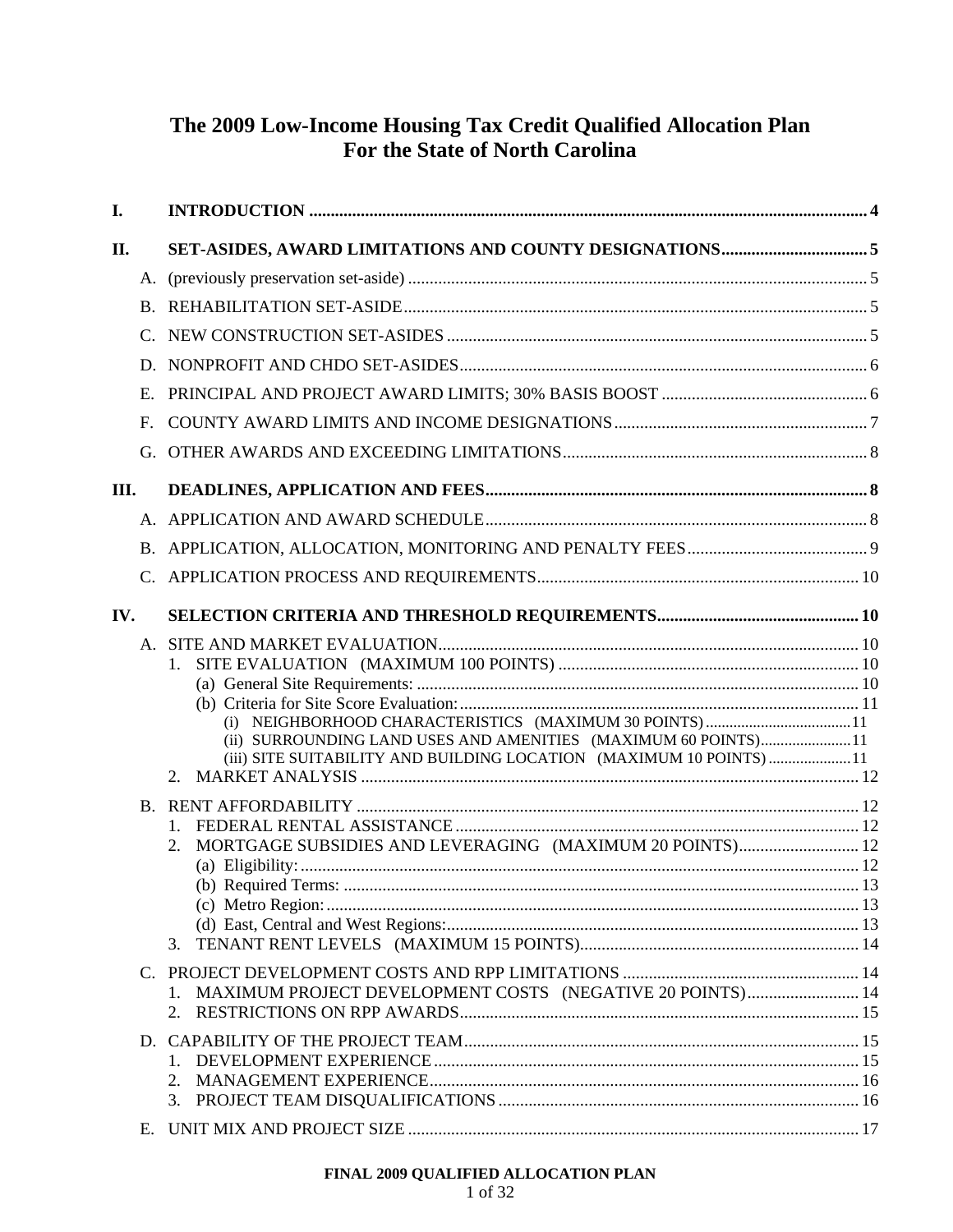# The 2009 Low-Income Housing Tax Credit Qualified Allocation Plan For the State of North Carolina

| I.   |                       |                                                                                                                                                                                                              |  |
|------|-----------------------|--------------------------------------------------------------------------------------------------------------------------------------------------------------------------------------------------------------|--|
| П.   |                       |                                                                                                                                                                                                              |  |
|      |                       |                                                                                                                                                                                                              |  |
|      |                       |                                                                                                                                                                                                              |  |
|      | $\mathcal{C}_{\cdot}$ |                                                                                                                                                                                                              |  |
|      | D                     |                                                                                                                                                                                                              |  |
|      | Е.                    |                                                                                                                                                                                                              |  |
|      | $\mathbf{F}$ .        |                                                                                                                                                                                                              |  |
|      | G.                    |                                                                                                                                                                                                              |  |
| III. |                       |                                                                                                                                                                                                              |  |
|      |                       |                                                                                                                                                                                                              |  |
|      |                       |                                                                                                                                                                                                              |  |
|      |                       |                                                                                                                                                                                                              |  |
| IV.  |                       |                                                                                                                                                                                                              |  |
|      |                       | (ii) SURROUNDING LAND USES AND AMENITIES (MAXIMUM 60 POINTS)11<br>(iii) SITE SUITABILITY AND BUILDING LOCATION (MAXIMUM 10 POINTS)11<br>2.<br>MORTGAGE SUBSIDIES AND LEVERAGING (MAXIMUM 20 POINTS) 12<br>2. |  |
|      |                       | 3.                                                                                                                                                                                                           |  |
|      |                       | MAXIMUM PROJECT DEVELOPMENT COSTS (NEGATIVE 20 POINTS) 14<br>2.                                                                                                                                              |  |
|      |                       | 3.                                                                                                                                                                                                           |  |
|      | Е.                    |                                                                                                                                                                                                              |  |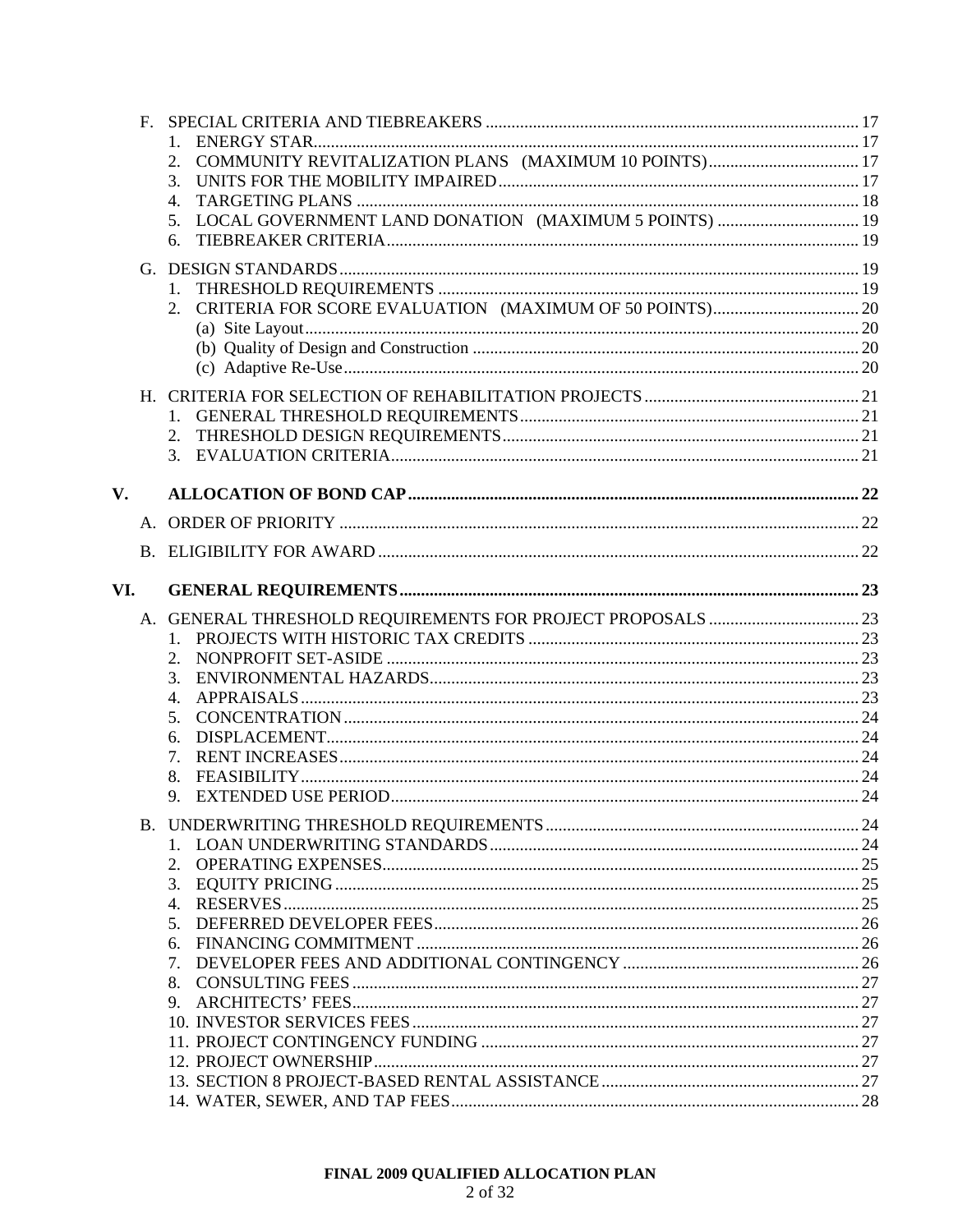|     |             | 2.                                                                |  |
|-----|-------------|-------------------------------------------------------------------|--|
|     |             | 3.                                                                |  |
|     |             | 4.                                                                |  |
|     |             | LOCAL GOVERNMENT LAND DONATION (MAXIMUM 5 POINTS)  19<br>5.<br>6. |  |
|     |             |                                                                   |  |
|     |             |                                                                   |  |
|     |             | 1.                                                                |  |
|     |             | 2.                                                                |  |
|     |             |                                                                   |  |
|     |             |                                                                   |  |
|     |             |                                                                   |  |
|     |             |                                                                   |  |
|     |             |                                                                   |  |
|     |             | 2.                                                                |  |
|     |             | 3.                                                                |  |
| V.  |             |                                                                   |  |
|     | $A_{\cdot}$ |                                                                   |  |
|     |             |                                                                   |  |
|     |             |                                                                   |  |
| VI. |             |                                                                   |  |
|     |             |                                                                   |  |
|     |             |                                                                   |  |
|     |             | $1_{-}$                                                           |  |
|     |             | 2.                                                                |  |
|     |             | 3.                                                                |  |
|     |             | $\mathbf{4}$ .                                                    |  |
|     |             | 5.                                                                |  |
|     |             | 6.                                                                |  |
|     |             | 7.                                                                |  |
|     |             | 8.                                                                |  |
|     |             | 9.                                                                |  |
|     |             |                                                                   |  |
|     |             |                                                                   |  |
|     |             | 2.                                                                |  |
|     |             | 3.                                                                |  |
|     |             | $4_{\cdot}$                                                       |  |
|     |             | 5.                                                                |  |
|     |             | 6.                                                                |  |
|     |             | 7.                                                                |  |
|     |             | 8.                                                                |  |
|     |             | 9.                                                                |  |
|     |             |                                                                   |  |
|     |             |                                                                   |  |
|     |             |                                                                   |  |
|     |             |                                                                   |  |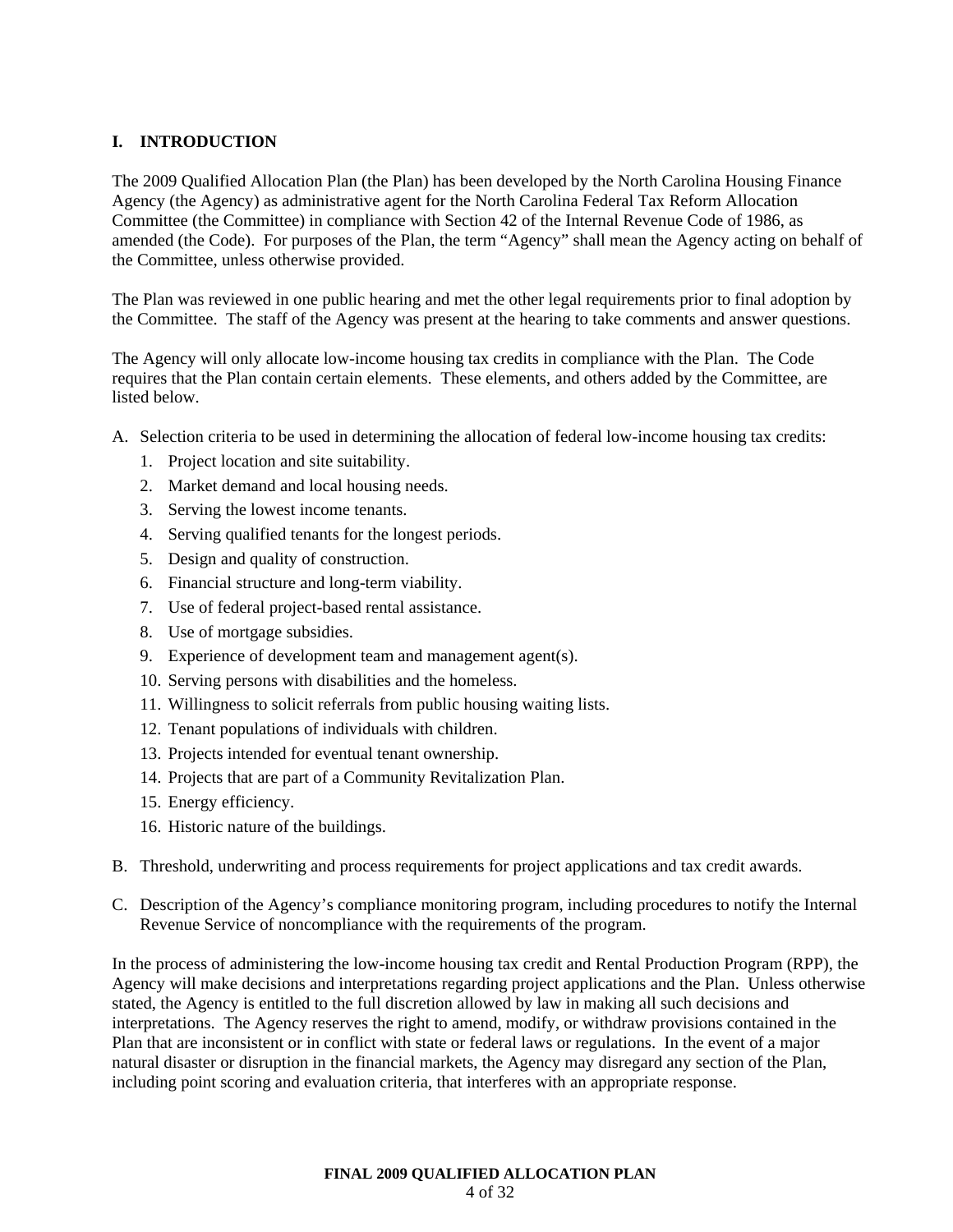# **I. INTRODUCTION**

The 2009 Qualified Allocation Plan (the Plan) has been developed by the North Carolina Housing Finance Agency (the Agency) as administrative agent for the North Carolina Federal Tax Reform Allocation Committee (the Committee) in compliance with Section 42 of the Internal Revenue Code of 1986, as amended (the Code). For purposes of the Plan, the term "Agency" shall mean the Agency acting on behalf of the Committee, unless otherwise provided.

The Plan was reviewed in one public hearing and met the other legal requirements prior to final adoption by the Committee. The staff of the Agency was present at the hearing to take comments and answer questions.

The Agency will only allocate low-income housing tax credits in compliance with the Plan. The Code requires that the Plan contain certain elements. These elements, and others added by the Committee, are listed below.

- A. Selection criteria to be used in determining the allocation of federal low-income housing tax credits:
	- 1. Project location and site suitability.
	- 2. Market demand and local housing needs.
	- 3. Serving the lowest income tenants.
	- 4. Serving qualified tenants for the longest periods.
	- 5. Design and quality of construction.
	- 6. Financial structure and long-term viability.
	- 7. Use of federal project-based rental assistance.
	- 8. Use of mortgage subsidies.
	- 9. Experience of development team and management agent(s).
	- 10. Serving persons with disabilities and the homeless.
	- 11. Willingness to solicit referrals from public housing waiting lists.
	- 12. Tenant populations of individuals with children.
	- 13. Projects intended for eventual tenant ownership.
	- 14. Projects that are part of a Community Revitalization Plan.
	- 15. Energy efficiency.
	- 16. Historic nature of the buildings.
- B. Threshold, underwriting and process requirements for project applications and tax credit awards.
- C. Description of the Agency's compliance monitoring program, including procedures to notify the Internal Revenue Service of noncompliance with the requirements of the program.

In the process of administering the low-income housing tax credit and Rental Production Program (RPP), the Agency will make decisions and interpretations regarding project applications and the Plan. Unless otherwise stated, the Agency is entitled to the full discretion allowed by law in making all such decisions and interpretations. The Agency reserves the right to amend, modify, or withdraw provisions contained in the Plan that are inconsistent or in conflict with state or federal laws or regulations. In the event of a major natural disaster or disruption in the financial markets, the Agency may disregard any section of the Plan, including point scoring and evaluation criteria, that interferes with an appropriate response.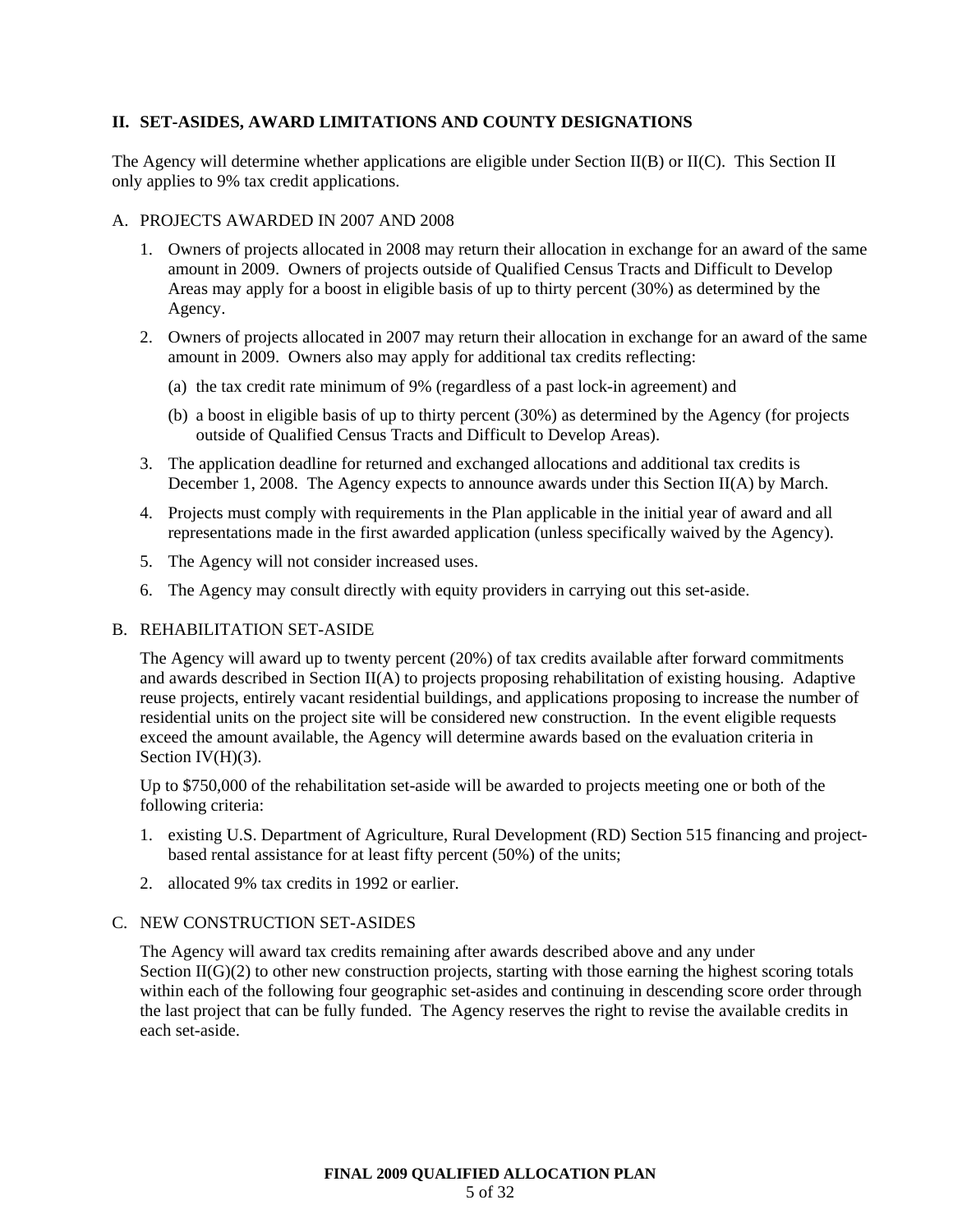# **II. SET-ASIDES, AWARD LIMITATIONS AND COUNTY DESIGNATIONS**

The Agency will determine whether applications are eligible under Section II(B) or II(C). This Section II only applies to 9% tax credit applications.

#### A. PROJECTS AWARDED IN 2007 AND 2008

- 1. Owners of projects allocated in 2008 may return their allocation in exchange for an award of the same amount in 2009. Owners of projects outside of Qualified Census Tracts and Difficult to Develop Areas may apply for a boost in eligible basis of up to thirty percent (30%) as determined by the Agency.
- 2. Owners of projects allocated in 2007 may return their allocation in exchange for an award of the same amount in 2009. Owners also may apply for additional tax credits reflecting:
	- (a) the tax credit rate minimum of 9% (regardless of a past lock-in agreement) and
	- (b) a boost in eligible basis of up to thirty percent (30%) as determined by the Agency (for projects outside of Qualified Census Tracts and Difficult to Develop Areas).
- 3. The application deadline for returned and exchanged allocations and additional tax credits is December 1, 2008. The Agency expects to announce awards under this Section II(A) by March.
- 4. Projects must comply with requirements in the Plan applicable in the initial year of award and all representations made in the first awarded application (unless specifically waived by the Agency).
- 5. The Agency will not consider increased uses.
- 6. The Agency may consult directly with equity providers in carrying out this set-aside.

#### B. REHABILITATION SET-ASIDE

The Agency will award up to twenty percent (20%) of tax credits available after forward commitments and awards described in Section II(A) to projects proposing rehabilitation of existing housing. Adaptive reuse projects, entirely vacant residential buildings, and applications proposing to increase the number of residential units on the project site will be considered new construction. In the event eligible requests exceed the amount available, the Agency will determine awards based on the evaluation criteria in Section  $IV(H)(3)$ .

Up to \$750,000 of the rehabilitation set-aside will be awarded to projects meeting one or both of the following criteria:

- 1. existing U.S. Department of Agriculture, Rural Development (RD) Section 515 financing and projectbased rental assistance for at least fifty percent (50%) of the units;
- 2. allocated 9% tax credits in 1992 or earlier.

#### C. NEW CONSTRUCTION SET-ASIDES

The Agency will award tax credits remaining after awards described above and any under Section  $II(G)(2)$  to other new construction projects, starting with those earning the highest scoring totals within each of the following four geographic set-asides and continuing in descending score order through the last project that can be fully funded. The Agency reserves the right to revise the available credits in each set-aside.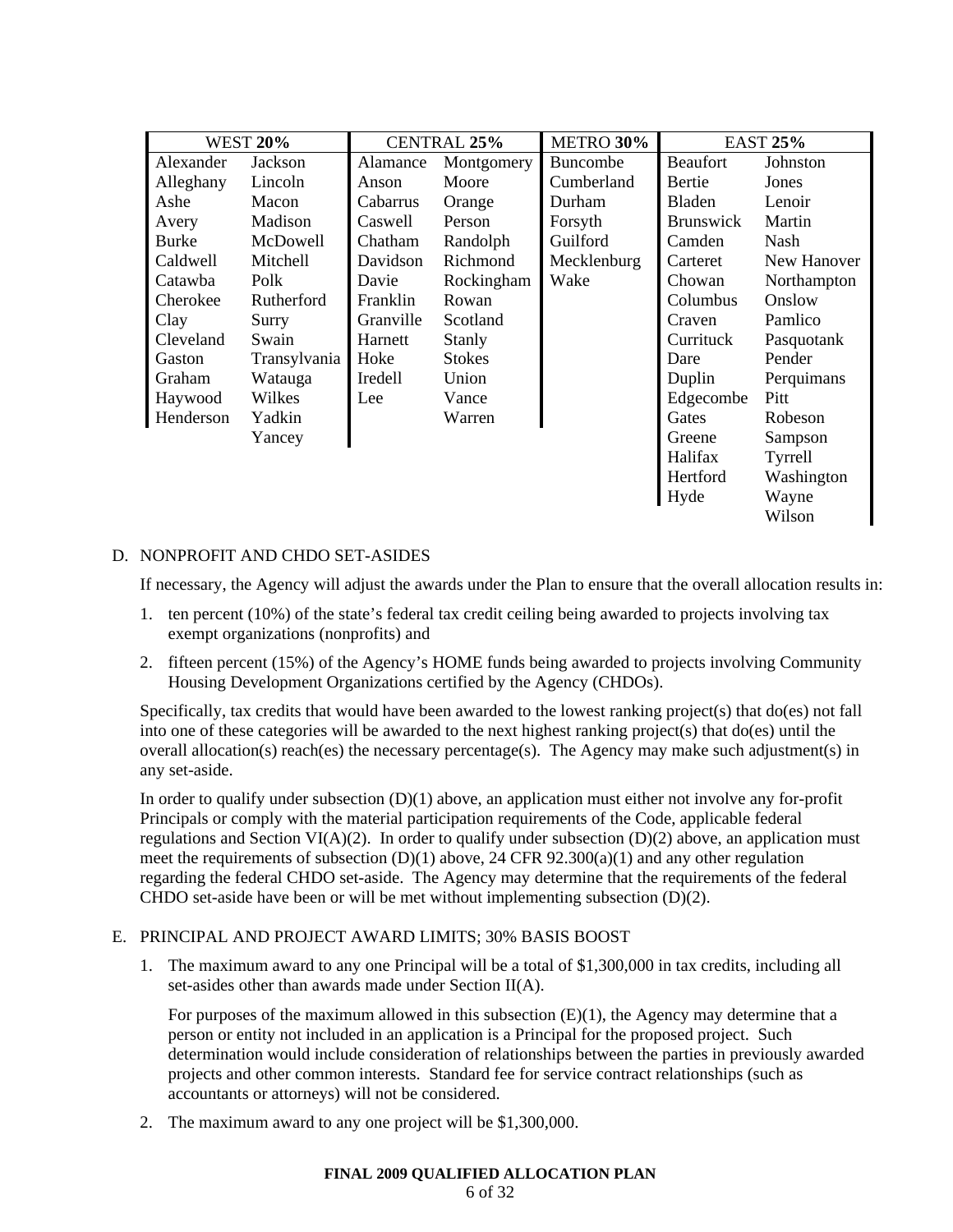| <b>WEST 20%</b> |              | CENTRAL 25% |               | METRO 30%   |                  | <b>EAST 25%</b> |
|-----------------|--------------|-------------|---------------|-------------|------------------|-----------------|
| Alexander       | Jackson      | Alamance    | Montgomery    | Buncombe    | <b>Beaufort</b>  | Johnston        |
| Alleghany       | Lincoln      | Anson       | Moore         | Cumberland  | Bertie           | Jones           |
| Ashe            | Macon        | Cabarrus    | Orange        | Durham      | Bladen           | Lenoir          |
| Avery           | Madison      | Caswell     | Person        | Forsyth     | <b>Brunswick</b> | Martin          |
| <b>Burke</b>    | McDowell     | Chatham     | Randolph      | Guilford    | Camden           | Nash            |
| Caldwell        | Mitchell     | Davidson    | Richmond      | Mecklenburg | Carteret         | New Hanover     |
| Catawba         | Polk         | Davie       | Rockingham    | Wake        | Chowan           | Northampton     |
| Cherokee        | Rutherford   | Franklin    | Rowan         |             | Columbus         | Onslow          |
| Clay            | Surry        | Granville   | Scotland      |             | Craven           | Pamlico         |
| Cleveland       | Swain        | Harnett     | Stanly        |             | Currituck        | Pasquotank      |
| Gaston          | Transylvania | Hoke        | <b>Stokes</b> |             | Dare             | Pender          |
| Graham          | Watauga      | Iredell     | Union         |             | Duplin           | Perquimans      |
| Haywood         | Wilkes       | Lee         | Vance         |             | Edgecombe        | Pitt            |
| Henderson       | Yadkin       |             | Warren        |             | Gates            | Robeson         |
|                 | Yancey       |             |               |             | Greene           | Sampson         |
|                 |              |             |               |             | Halifax          | Tyrrell         |
|                 |              |             |               |             | Hertford         | Washington      |
|                 |              |             |               |             | Hyde             | Wayne           |
|                 |              |             |               |             |                  | Wilson          |

# D. NONPROFIT AND CHDO SET-ASIDES

If necessary, the Agency will adjust the awards under the Plan to ensure that the overall allocation results in:

- 1. ten percent (10%) of the state's federal tax credit ceiling being awarded to projects involving tax exempt organizations (nonprofits) and
- 2. fifteen percent (15%) of the Agency's HOME funds being awarded to projects involving Community Housing Development Organizations certified by the Agency (CHDOs).

Specifically, tax credits that would have been awarded to the lowest ranking project(s) that do(es) not fall into one of these categories will be awarded to the next highest ranking project(s) that do(es) until the overall allocation(s) reach(es) the necessary percentage(s). The Agency may make such adjustment(s) in any set-aside.

In order to qualify under subsection  $(D)(1)$  above, an application must either not involve any for-profit Principals or comply with the material participation requirements of the Code, applicable federal regulations and Section VI(A)(2). In order to qualify under subsection (D)(2) above, an application must meet the requirements of subsection (D)(1) above, 24 CFR 92.300(a)(1) and any other regulation regarding the federal CHDO set-aside. The Agency may determine that the requirements of the federal CHDO set-aside have been or will be met without implementing subsection (D)(2).

# E. PRINCIPAL AND PROJECT AWARD LIMITS; 30% BASIS BOOST

1. The maximum award to any one Principal will be a total of \$1,300,000 in tax credits, including all set-asides other than awards made under Section II(A).

For purposes of the maximum allowed in this subsection (E)(1), the Agency may determine that a person or entity not included in an application is a Principal for the proposed project. Such determination would include consideration of relationships between the parties in previously awarded projects and other common interests. Standard fee for service contract relationships (such as accountants or attorneys) will not be considered.

2. The maximum award to any one project will be \$1,300,000.

#### **FINAL 2009 QUALIFIED ALLOCATION PLAN**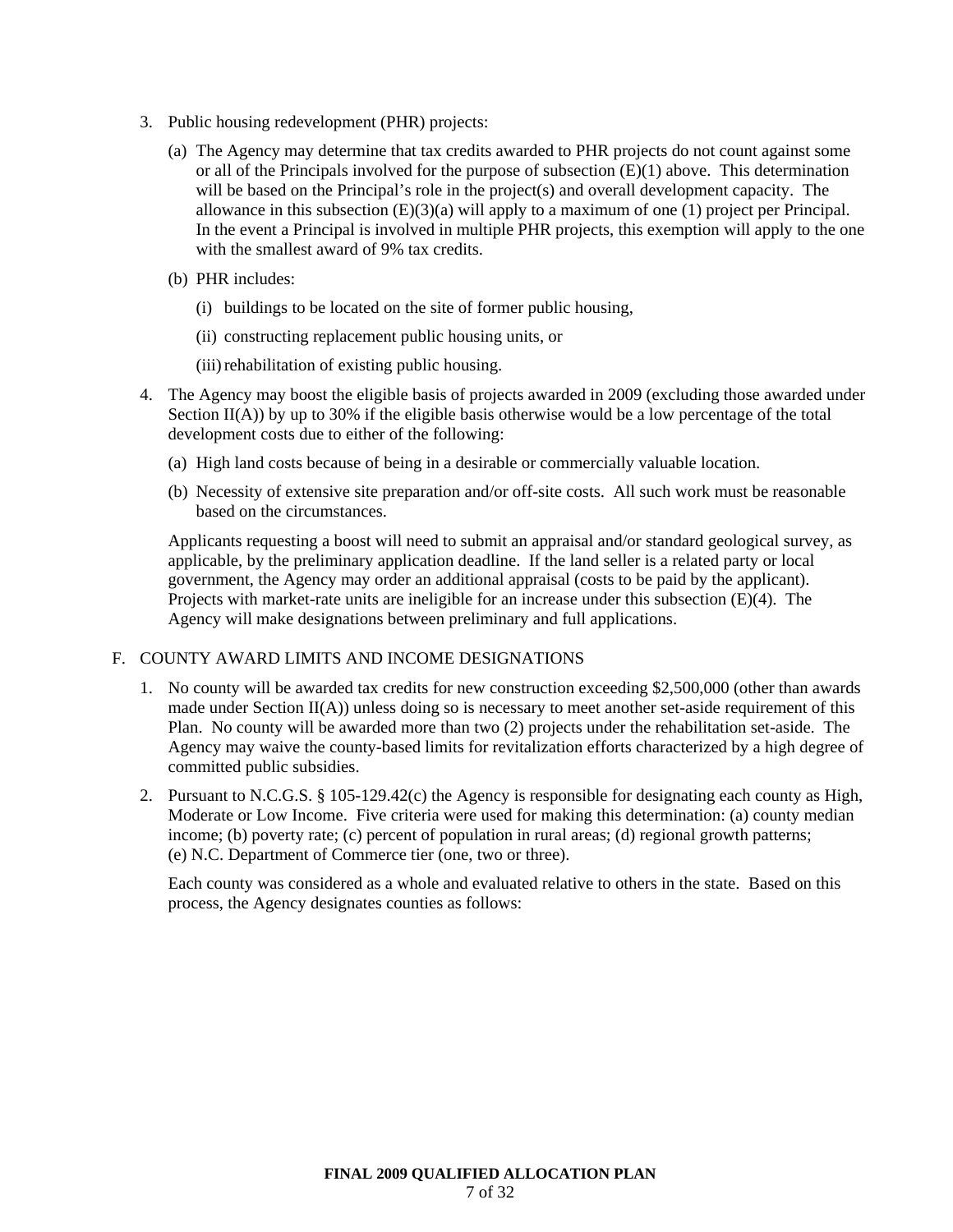- 3. Public housing redevelopment (PHR) projects:
	- (a) The Agency may determine that tax credits awarded to PHR projects do not count against some or all of the Principals involved for the purpose of subsection (E)(1) above. This determination will be based on the Principal's role in the project(s) and overall development capacity. The allowance in this subsection  $(E)(3)(a)$  will apply to a maximum of one (1) project per Principal. In the event a Principal is involved in multiple PHR projects, this exemption will apply to the one with the smallest award of 9% tax credits.
	- (b) PHR includes:
		- (i) buildings to be located on the site of former public housing,
		- (ii) constructing replacement public housing units, or
		- (iii) rehabilitation of existing public housing.
- 4. The Agency may boost the eligible basis of projects awarded in 2009 (excluding those awarded under Section  $II(A)$ ) by up to 30% if the eligible basis otherwise would be a low percentage of the total development costs due to either of the following:
	- (a) High land costs because of being in a desirable or commercially valuable location.
	- (b) Necessity of extensive site preparation and/or off-site costs. All such work must be reasonable based on the circumstances.

Applicants requesting a boost will need to submit an appraisal and/or standard geological survey, as applicable, by the preliminary application deadline. If the land seller is a related party or local government, the Agency may order an additional appraisal (costs to be paid by the applicant). Projects with market-rate units are ineligible for an increase under this subsection  $(E)(4)$ . The Agency will make designations between preliminary and full applications.

# F. COUNTY AWARD LIMITS AND INCOME DESIGNATIONS

- 1. No county will be awarded tax credits for new construction exceeding \$2,500,000 (other than awards made under Section  $II(A)$ ) unless doing so is necessary to meet another set-aside requirement of this Plan. No county will be awarded more than two (2) projects under the rehabilitation set-aside. The Agency may waive the county-based limits for revitalization efforts characterized by a high degree of committed public subsidies.
- 2. Pursuant to N.C.G.S. § 105-129.42(c) the Agency is responsible for designating each county as High, Moderate or Low Income. Five criteria were used for making this determination: (a) county median income; (b) poverty rate; (c) percent of population in rural areas; (d) regional growth patterns; (e) N.C. Department of Commerce tier (one, two or three).

Each county was considered as a whole and evaluated relative to others in the state. Based on this process, the Agency designates counties as follows: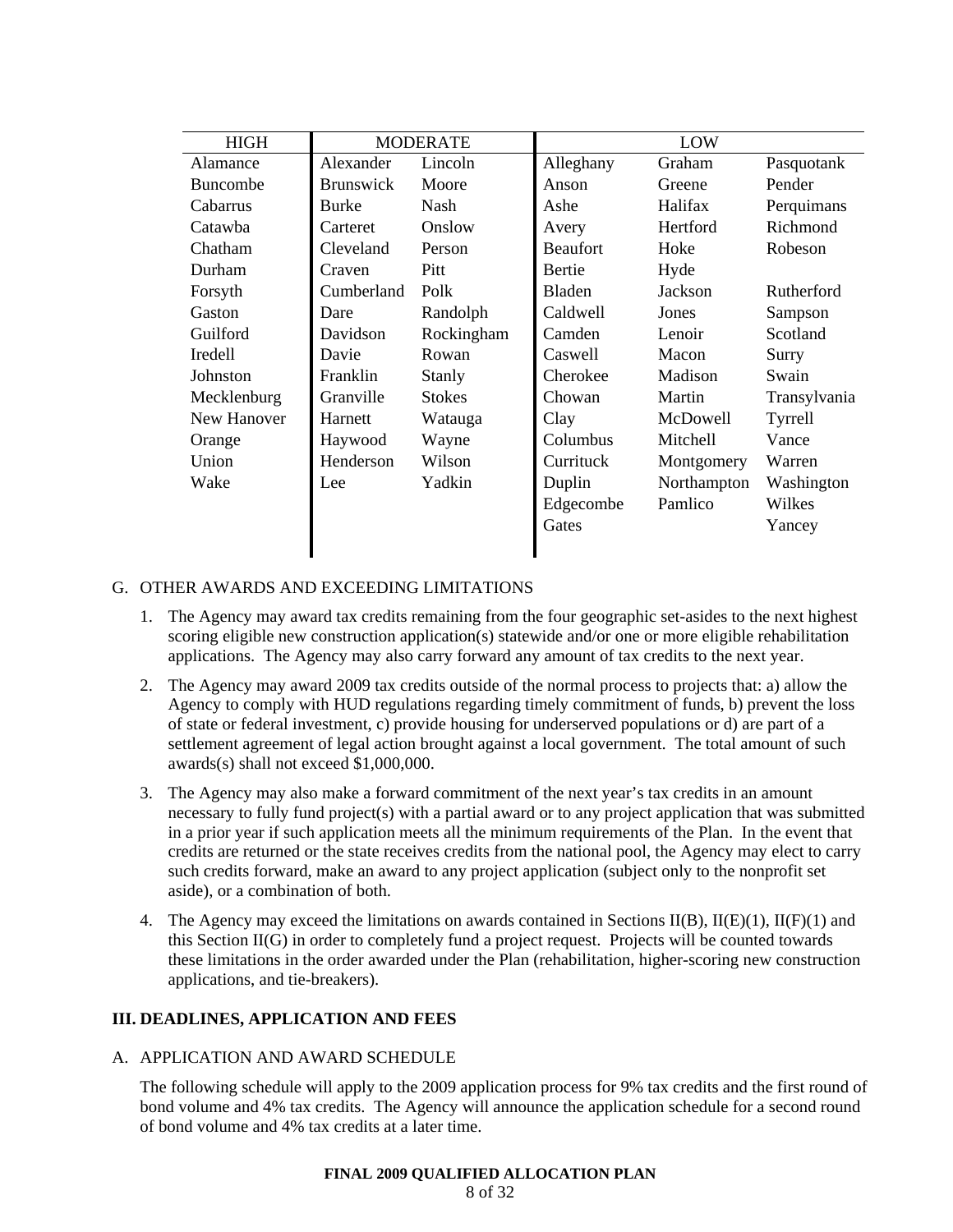| <b>HIGH</b>    | <b>MODERATE</b>  |               | LOW             |             |              |  |
|----------------|------------------|---------------|-----------------|-------------|--------------|--|
| Alamance       | Alexander        | Lincoln       | Alleghany       | Graham      | Pasquotank   |  |
| Buncombe       | <b>Brunswick</b> | Moore         | Anson           | Greene      | Pender       |  |
| Cabarrus       | <b>Burke</b>     | Nash          | Ashe            | Halifax     | Perquimans   |  |
| Catawba        | Carteret         | Onslow        | Avery           | Hertford    | Richmond     |  |
| Chatham        | Cleveland        | Person        | <b>Beaufort</b> | Hoke        | Robeson      |  |
| Durham         | Craven           | Pitt          | Bertie          | Hyde        |              |  |
| Forsyth        | Cumberland       | Polk          | <b>Bladen</b>   | Jackson     | Rutherford   |  |
| Gaston         | Dare             | Randolph      | Caldwell        | Jones       | Sampson      |  |
| Guilford       | Davidson         | Rockingham    | Camden          | Lenoir      | Scotland     |  |
| <b>Iredell</b> | Davie            | Rowan         | Caswell         | Macon       | Surry        |  |
| Johnston       | Franklin         | Stanly        | Cherokee        | Madison     | Swain        |  |
| Mecklenburg    | Granville        | <b>Stokes</b> | Chowan          | Martin      | Transylvania |  |
| New Hanover    | Harnett          | Watauga       | Clay            | McDowell    | Tyrrell      |  |
| Orange         | Haywood          | Wayne         | Columbus        | Mitchell    | Vance        |  |
| Union          | Henderson        | Wilson        | Currituck       | Montgomery  | Warren       |  |
| Wake           | Lee              | Yadkin        | Duplin          | Northampton | Washington   |  |
|                |                  |               | Edgecombe       | Pamlico     | Wilkes       |  |
|                |                  |               | Gates           |             | Yancey       |  |
|                |                  |               |                 |             |              |  |

# G. OTHER AWARDS AND EXCEEDING LIMITATIONS

- 1. The Agency may award tax credits remaining from the four geographic set-asides to the next highest scoring eligible new construction application(s) statewide and/or one or more eligible rehabilitation applications. The Agency may also carry forward any amount of tax credits to the next year.
- 2. The Agency may award 2009 tax credits outside of the normal process to projects that: a) allow the Agency to comply with HUD regulations regarding timely commitment of funds, b) prevent the loss of state or federal investment, c) provide housing for underserved populations or d) are part of a settlement agreement of legal action brought against a local government. The total amount of such awards(s) shall not exceed \$1,000,000.
- 3. The Agency may also make a forward commitment of the next year's tax credits in an amount necessary to fully fund project(s) with a partial award or to any project application that was submitted in a prior year if such application meets all the minimum requirements of the Plan. In the event that credits are returned or the state receives credits from the national pool, the Agency may elect to carry such credits forward, make an award to any project application (subject only to the nonprofit set aside), or a combination of both.
- 4. The Agency may exceed the limitations on awards contained in Sections II(B), II(E)(1), II(F)(1) and this Section II(G) in order to completely fund a project request. Projects will be counted towards these limitations in the order awarded under the Plan (rehabilitation, higher-scoring new construction applications, and tie-breakers).

# **III. DEADLINES, APPLICATION AND FEES**

# A. APPLICATION AND AWARD SCHEDULE

The following schedule will apply to the 2009 application process for 9% tax credits and the first round of bond volume and 4% tax credits. The Agency will announce the application schedule for a second round of bond volume and 4% tax credits at a later time.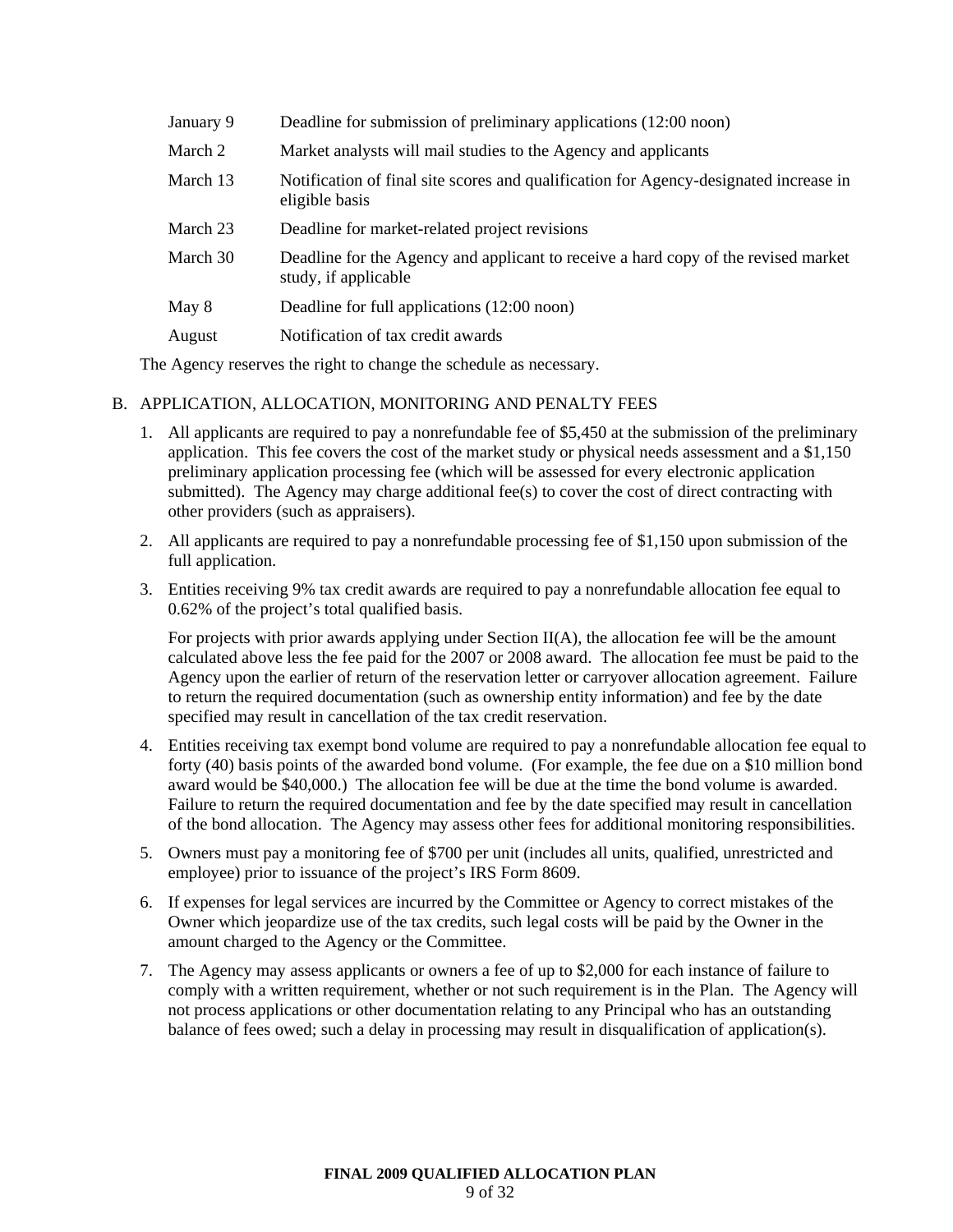| January 9 | Deadline for submission of preliminary applications (12:00 noon)                                           |
|-----------|------------------------------------------------------------------------------------------------------------|
| March 2   | Market analysts will mail studies to the Agency and applicants                                             |
| March 13  | Notification of final site scores and qualification for Agency-designated increase in<br>eligible basis    |
| March 23  | Deadline for market-related project revisions                                                              |
| March 30  | Deadline for the Agency and applicant to receive a hard copy of the revised market<br>study, if applicable |
| May 8     | Deadline for full applications (12:00 noon)                                                                |
| August    | Notification of tax credit awards                                                                          |

The Agency reserves the right to change the schedule as necessary.

# B. APPLICATION, ALLOCATION, MONITORING AND PENALTY FEES

- 1. All applicants are required to pay a nonrefundable fee of \$5,450 at the submission of the preliminary application. This fee covers the cost of the market study or physical needs assessment and a \$1,150 preliminary application processing fee (which will be assessed for every electronic application submitted). The Agency may charge additional fee(s) to cover the cost of direct contracting with other providers (such as appraisers).
- 2. All applicants are required to pay a nonrefundable processing fee of \$1,150 upon submission of the full application.
- 3. Entities receiving 9% tax credit awards are required to pay a nonrefundable allocation fee equal to 0.62% of the project's total qualified basis.

For projects with prior awards applying under Section II(A), the allocation fee will be the amount calculated above less the fee paid for the 2007 or 2008 award. The allocation fee must be paid to the Agency upon the earlier of return of the reservation letter or carryover allocation agreement. Failure to return the required documentation (such as ownership entity information) and fee by the date specified may result in cancellation of the tax credit reservation.

- 4. Entities receiving tax exempt bond volume are required to pay a nonrefundable allocation fee equal to forty (40) basis points of the awarded bond volume. (For example, the fee due on a \$10 million bond award would be \$40,000.) The allocation fee will be due at the time the bond volume is awarded. Failure to return the required documentation and fee by the date specified may result in cancellation of the bond allocation. The Agency may assess other fees for additional monitoring responsibilities.
- 5. Owners must pay a monitoring fee of \$700 per unit (includes all units, qualified, unrestricted and employee) prior to issuance of the project's IRS Form 8609.
- 6. If expenses for legal services are incurred by the Committee or Agency to correct mistakes of the Owner which jeopardize use of the tax credits, such legal costs will be paid by the Owner in the amount charged to the Agency or the Committee.
- 7. The Agency may assess applicants or owners a fee of up to \$2,000 for each instance of failure to comply with a written requirement, whether or not such requirement is in the Plan. The Agency will not process applications or other documentation relating to any Principal who has an outstanding balance of fees owed; such a delay in processing may result in disqualification of application(s).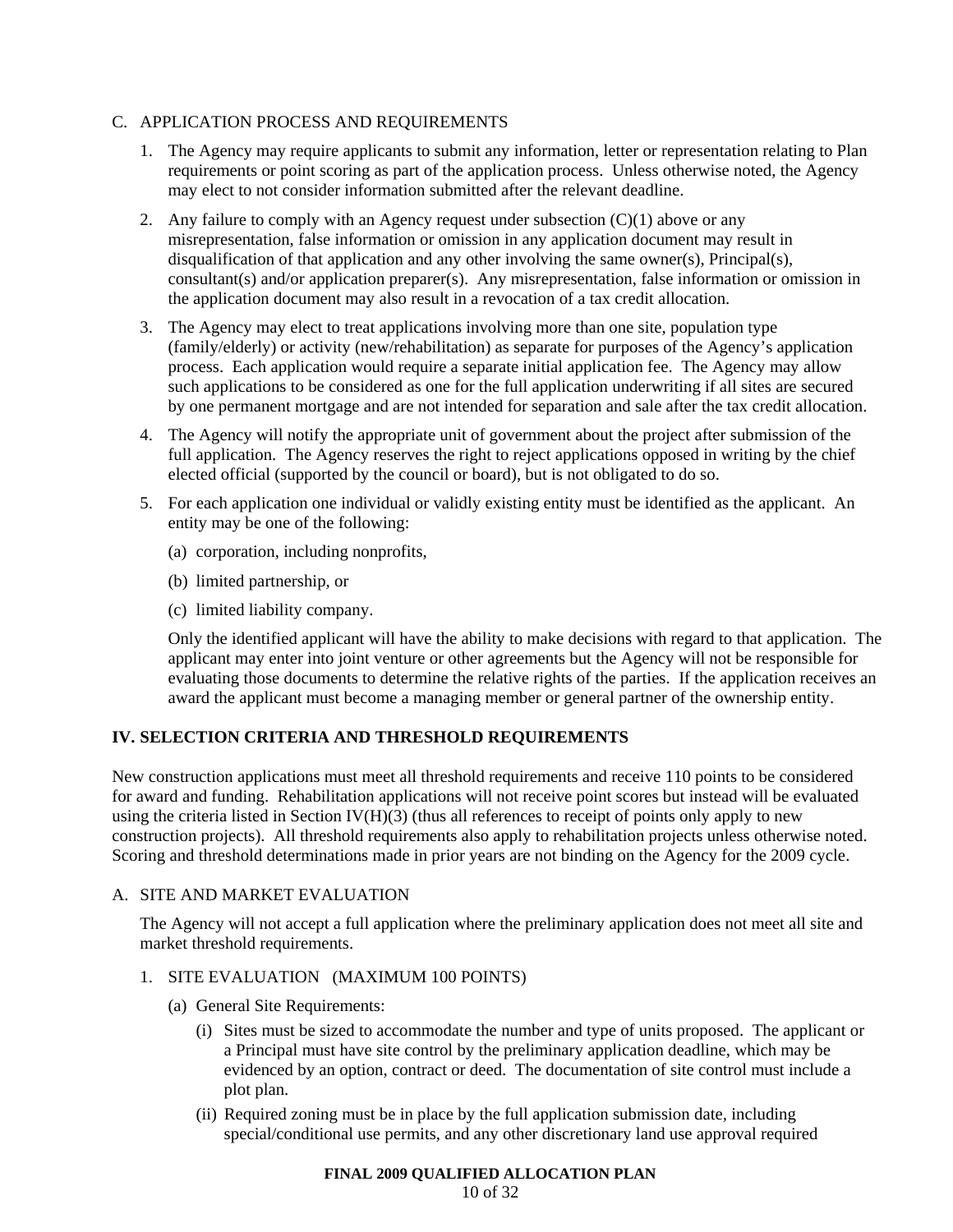# C. APPLICATION PROCESS AND REQUIREMENTS

- 1. The Agency may require applicants to submit any information, letter or representation relating to Plan requirements or point scoring as part of the application process. Unless otherwise noted, the Agency may elect to not consider information submitted after the relevant deadline.
- 2. Any failure to comply with an Agency request under subsection  $(C)(1)$  above or any misrepresentation, false information or omission in any application document may result in disqualification of that application and any other involving the same owner(s), Principal(s), consultant(s) and/or application preparer(s). Any misrepresentation, false information or omission in the application document may also result in a revocation of a tax credit allocation.
- 3. The Agency may elect to treat applications involving more than one site, population type (family/elderly) or activity (new/rehabilitation) as separate for purposes of the Agency's application process. Each application would require a separate initial application fee. The Agency may allow such applications to be considered as one for the full application underwriting if all sites are secured by one permanent mortgage and are not intended for separation and sale after the tax credit allocation.
- 4. The Agency will notify the appropriate unit of government about the project after submission of the full application. The Agency reserves the right to reject applications opposed in writing by the chief elected official (supported by the council or board), but is not obligated to do so.
- 5. For each application one individual or validly existing entity must be identified as the applicant. An entity may be one of the following:
	- (a) corporation, including nonprofits,
	- (b) limited partnership, or
	- (c) limited liability company.

Only the identified applicant will have the ability to make decisions with regard to that application. The applicant may enter into joint venture or other agreements but the Agency will not be responsible for evaluating those documents to determine the relative rights of the parties. If the application receives an award the applicant must become a managing member or general partner of the ownership entity.

# **IV. SELECTION CRITERIA AND THRESHOLD REQUIREMENTS**

New construction applications must meet all threshold requirements and receive 110 points to be considered for award and funding. Rehabilitation applications will not receive point scores but instead will be evaluated using the criteria listed in Section IV( $H$ )(3) (thus all references to receipt of points only apply to new construction projects). All threshold requirements also apply to rehabilitation projects unless otherwise noted. Scoring and threshold determinations made in prior years are not binding on the Agency for the 2009 cycle.

# A. SITE AND MARKET EVALUATION

The Agency will not accept a full application where the preliminary application does not meet all site and market threshold requirements.

# 1. SITE EVALUATION (MAXIMUM 100 POINTS)

- (a) General Site Requirements:
	- (i) Sites must be sized to accommodate the number and type of units proposed. The applicant or a Principal must have site control by the preliminary application deadline, which may be evidenced by an option, contract or deed. The documentation of site control must include a plot plan.
	- (ii) Required zoning must be in place by the full application submission date, including special/conditional use permits, and any other discretionary land use approval required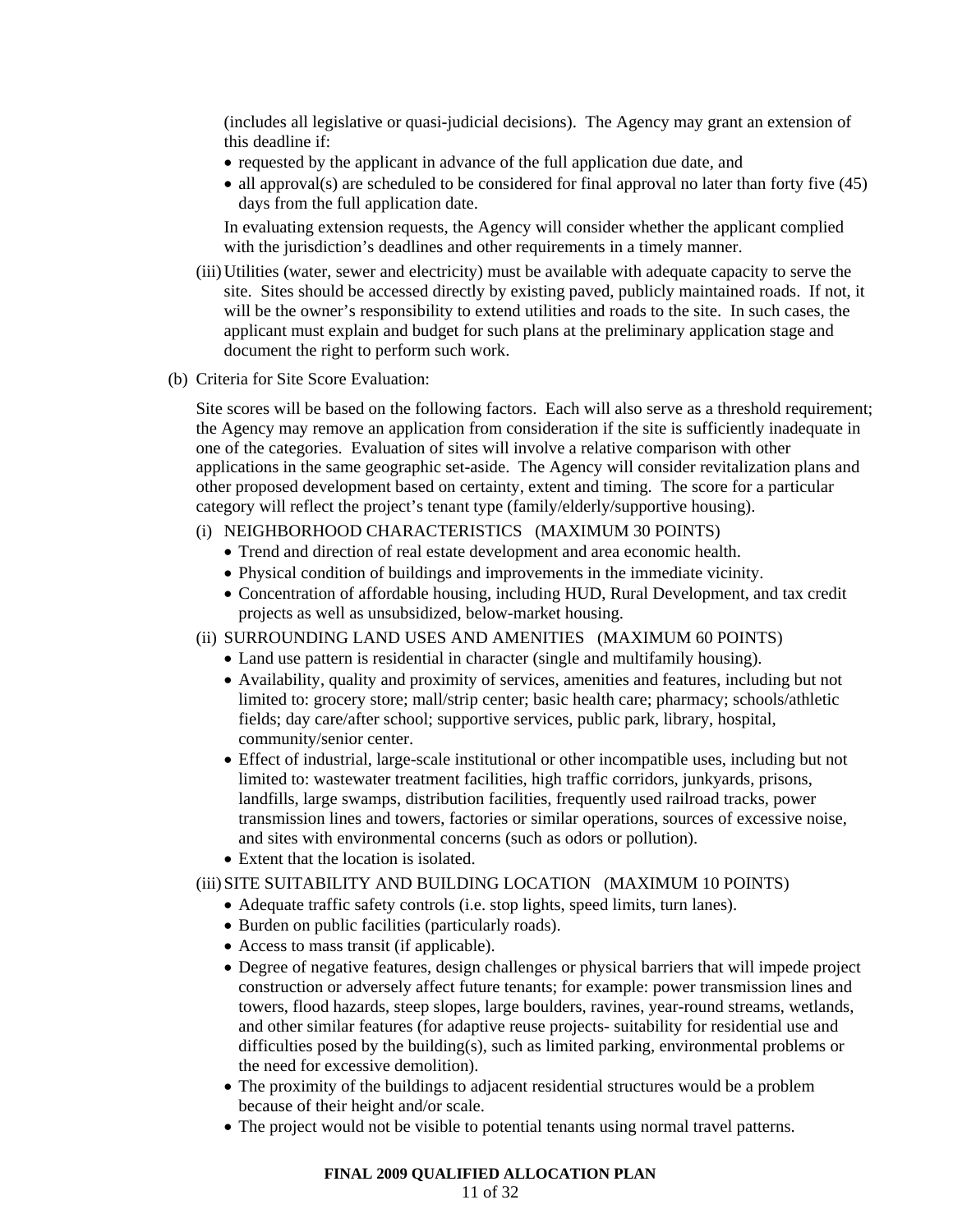(includes all legislative or quasi-judicial decisions). The Agency may grant an extension of this deadline if:

- requested by the applicant in advance of the full application due date, and
- all approval(s) are scheduled to be considered for final approval no later than forty five (45) days from the full application date.

In evaluating extension requests, the Agency will consider whether the applicant complied with the jurisdiction's deadlines and other requirements in a timely manner.

- (iii) Utilities (water, sewer and electricity) must be available with adequate capacity to serve the site. Sites should be accessed directly by existing paved, publicly maintained roads. If not, it will be the owner's responsibility to extend utilities and roads to the site. In such cases, the applicant must explain and budget for such plans at the preliminary application stage and document the right to perform such work.
- (b) Criteria for Site Score Evaluation:

Site scores will be based on the following factors. Each will also serve as a threshold requirement; the Agency may remove an application from consideration if the site is sufficiently inadequate in one of the categories. Evaluation of sites will involve a relative comparison with other applications in the same geographic set-aside. The Agency will consider revitalization plans and other proposed development based on certainty, extent and timing. The score for a particular category will reflect the project's tenant type (family/elderly/supportive housing).

# (i) NEIGHBORHOOD CHARACTERISTICS (MAXIMUM 30 POINTS)

- Trend and direction of real estate development and area economic health.
- Physical condition of buildings and improvements in the immediate vicinity.
- Concentration of affordable housing, including HUD, Rural Development, and tax credit projects as well as unsubsidized, below-market housing.

#### (ii) SURROUNDING LAND USES AND AMENITIES (MAXIMUM 60 POINTS)

- Land use pattern is residential in character (single and multifamily housing).
- Availability, quality and proximity of services, amenities and features, including but not limited to: grocery store; mall/strip center; basic health care; pharmacy; schools/athletic fields; day care/after school; supportive services, public park, library, hospital, community/senior center.
- Effect of industrial, large-scale institutional or other incompatible uses, including but not limited to: wastewater treatment facilities, high traffic corridors, junkyards, prisons, landfills, large swamps, distribution facilities, frequently used railroad tracks, power transmission lines and towers, factories or similar operations, sources of excessive noise, and sites with environmental concerns (such as odors or pollution).
- Extent that the location is isolated.

# (iii) SITE SUITABILITY AND BUILDING LOCATION (MAXIMUM 10 POINTS)

- Adequate traffic safety controls (i.e. stop lights, speed limits, turn lanes).
- Burden on public facilities (particularly roads).
- Access to mass transit (if applicable).
- Degree of negative features, design challenges or physical barriers that will impede project construction or adversely affect future tenants; for example: power transmission lines and towers, flood hazards, steep slopes, large boulders, ravines, year-round streams, wetlands, and other similar features (for adaptive reuse projects- suitability for residential use and difficulties posed by the building(s), such as limited parking, environmental problems or the need for excessive demolition).
- The proximity of the buildings to adjacent residential structures would be a problem because of their height and/or scale.
- The project would not be visible to potential tenants using normal travel patterns.

#### **FINAL 2009 QUALIFIED ALLOCATION PLAN**

#### 11 of 32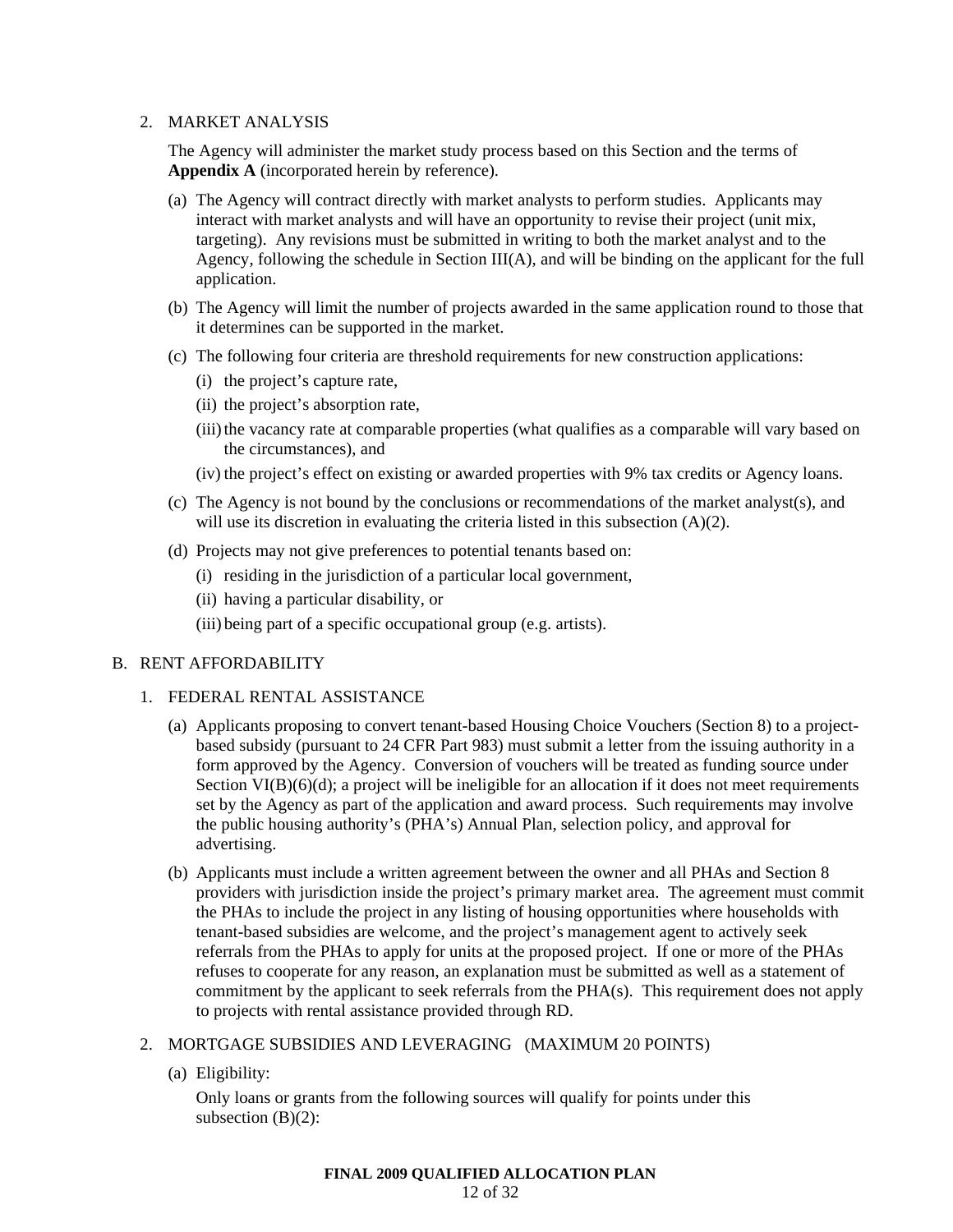# 2. MARKET ANALYSIS

The Agency will administer the market study process based on this Section and the terms of **Appendix A** (incorporated herein by reference).

- (a) The Agency will contract directly with market analysts to perform studies. Applicants may interact with market analysts and will have an opportunity to revise their project (unit mix, targeting). Any revisions must be submitted in writing to both the market analyst and to the Agency, following the schedule in Section III(A), and will be binding on the applicant for the full application.
- (b) The Agency will limit the number of projects awarded in the same application round to those that it determines can be supported in the market.
- (c) The following four criteria are threshold requirements for new construction applications:
	- (i) the project's capture rate,
	- (ii) the project's absorption rate,
	- (iii) the vacancy rate at comparable properties (what qualifies as a comparable will vary based on the circumstances), and
	- (iv) the project's effect on existing or awarded properties with 9% tax credits or Agency loans.
- (c) The Agency is not bound by the conclusions or recommendations of the market analyst(s), and will use its discretion in evaluating the criteria listed in this subsection (A)(2).
- (d) Projects may not give preferences to potential tenants based on:
	- (i) residing in the jurisdiction of a particular local government,
	- (ii) having a particular disability, or
	- (iii) being part of a specific occupational group (e.g. artists).

# B. RENT AFFORDABILITY

#### 1. FEDERAL RENTAL ASSISTANCE

- (a) Applicants proposing to convert tenant-based Housing Choice Vouchers (Section 8) to a projectbased subsidy (pursuant to 24 CFR Part 983) must submit a letter from the issuing authority in a form approved by the Agency. Conversion of vouchers will be treated as funding source under Section  $VI(B)(6)(d)$ ; a project will be ineligible for an allocation if it does not meet requirements set by the Agency as part of the application and award process. Such requirements may involve the public housing authority's (PHA's) Annual Plan, selection policy, and approval for advertising.
- (b) Applicants must include a written agreement between the owner and all PHAs and Section 8 providers with jurisdiction inside the project's primary market area. The agreement must commit the PHAs to include the project in any listing of housing opportunities where households with tenant-based subsidies are welcome, and the project's management agent to actively seek referrals from the PHAs to apply for units at the proposed project. If one or more of the PHAs refuses to cooperate for any reason, an explanation must be submitted as well as a statement of commitment by the applicant to seek referrals from the PHA(s). This requirement does not apply to projects with rental assistance provided through RD.

# 2. MORTGAGE SUBSIDIES AND LEVERAGING (MAXIMUM 20 POINTS)

(a) Eligibility:

Only loans or grants from the following sources will qualify for points under this subsection  $(B)(2)$ :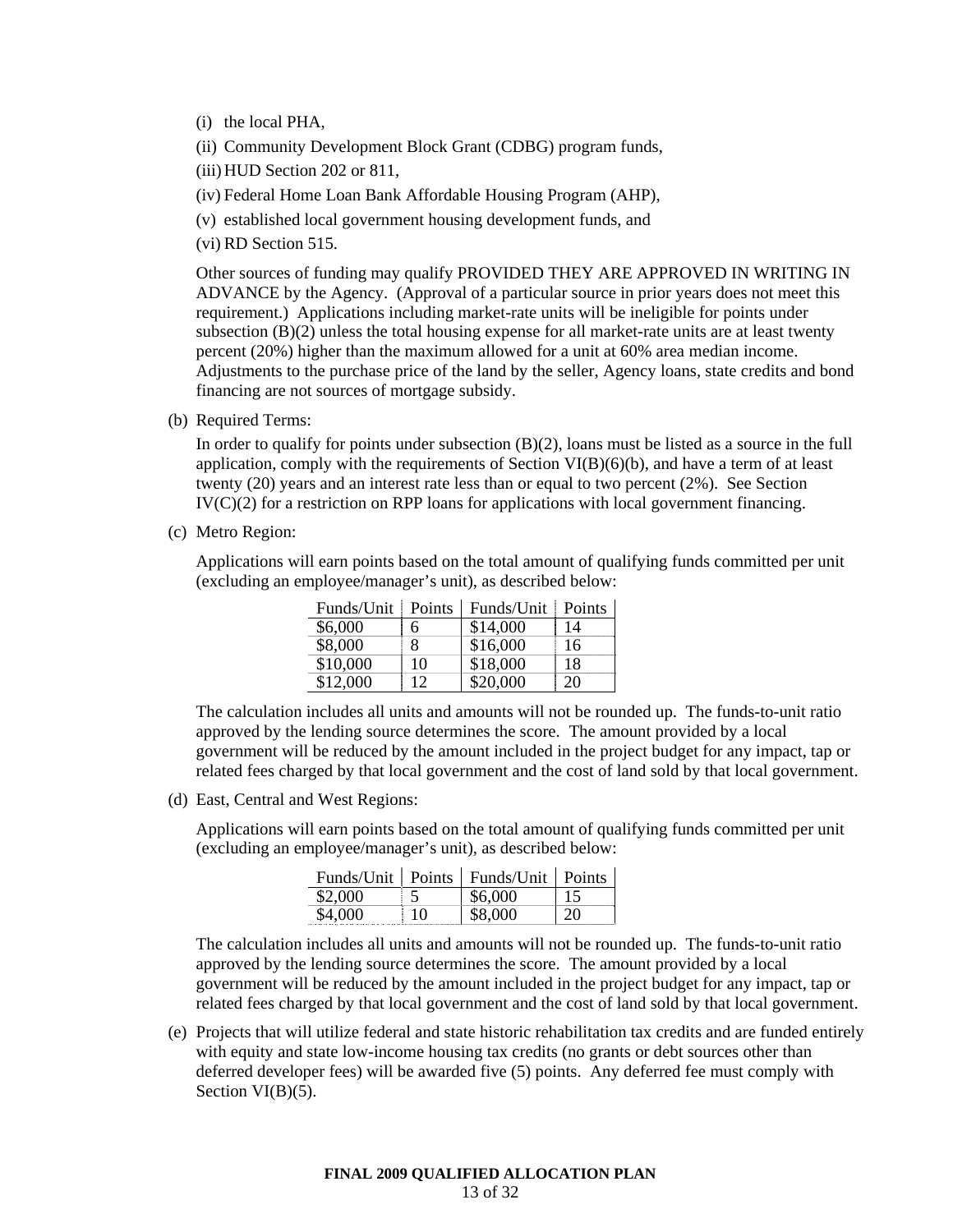- (i) the local PHA,
- (ii) Community Development Block Grant (CDBG) program funds,
- (iii) HUD Section 202 or 811,
- (iv) Federal Home Loan Bank Affordable Housing Program (AHP),
- (v) established local government housing development funds, and
- (vi) RD Section 515.

Other sources of funding may qualify PROVIDED THEY ARE APPROVED IN WRITING IN ADVANCE by the Agency. (Approval of a particular source in prior years does not meet this requirement.) Applications including market-rate units will be ineligible for points under subsection (B)(2) unless the total housing expense for all market-rate units are at least twenty percent (20%) higher than the maximum allowed for a unit at 60% area median income. Adjustments to the purchase price of the land by the seller, Agency loans, state credits and bond financing are not sources of mortgage subsidy.

(b) Required Terms:

In order to qualify for points under subsection (B)(2), loans must be listed as a source in the full application, comply with the requirements of Section VI(B)(6)(b), and have a term of at least twenty (20) years and an interest rate less than or equal to two percent (2%). See Section IV(C)(2) for a restriction on RPP loans for applications with local government financing.

(c) Metro Region:

Applications will earn points based on the total amount of qualifying funds committed per unit (excluding an employee/manager's unit), as described below:

| Funds/Unit | <b>Points</b> | Funds/Unit | Points |
|------------|---------------|------------|--------|
| \$6,000    | 6             | \$14,000   | 14     |
| \$8,000    | 8             | \$16,000   | 16     |
| \$10,000   | 10            | \$18,000   | 18     |
| \$12,000   | 12            | \$20,000   | 20     |

The calculation includes all units and amounts will not be rounded up. The funds-to-unit ratio approved by the lending source determines the score. The amount provided by a local government will be reduced by the amount included in the project budget for any impact, tap or related fees charged by that local government and the cost of land sold by that local government.

(d) East, Central and West Regions:

Applications will earn points based on the total amount of qualifying funds committed per unit (excluding an employee/manager's unit), as described below:

|         |    | Funds/Unit   Points   Funds/Unit   Points |    |
|---------|----|-------------------------------------------|----|
| \$2,000 |    | \$6,000                                   | 15 |
| \$4,000 | 10 | \$8,000                                   | 20 |

The calculation includes all units and amounts will not be rounded up. The funds-to-unit ratio approved by the lending source determines the score. The amount provided by a local government will be reduced by the amount included in the project budget for any impact, tap or related fees charged by that local government and the cost of land sold by that local government.

(e) Projects that will utilize federal and state historic rehabilitation tax credits and are funded entirely with equity and state low-income housing tax credits (no grants or debt sources other than deferred developer fees) will be awarded five (5) points. Any deferred fee must comply with Section VI(B)(5).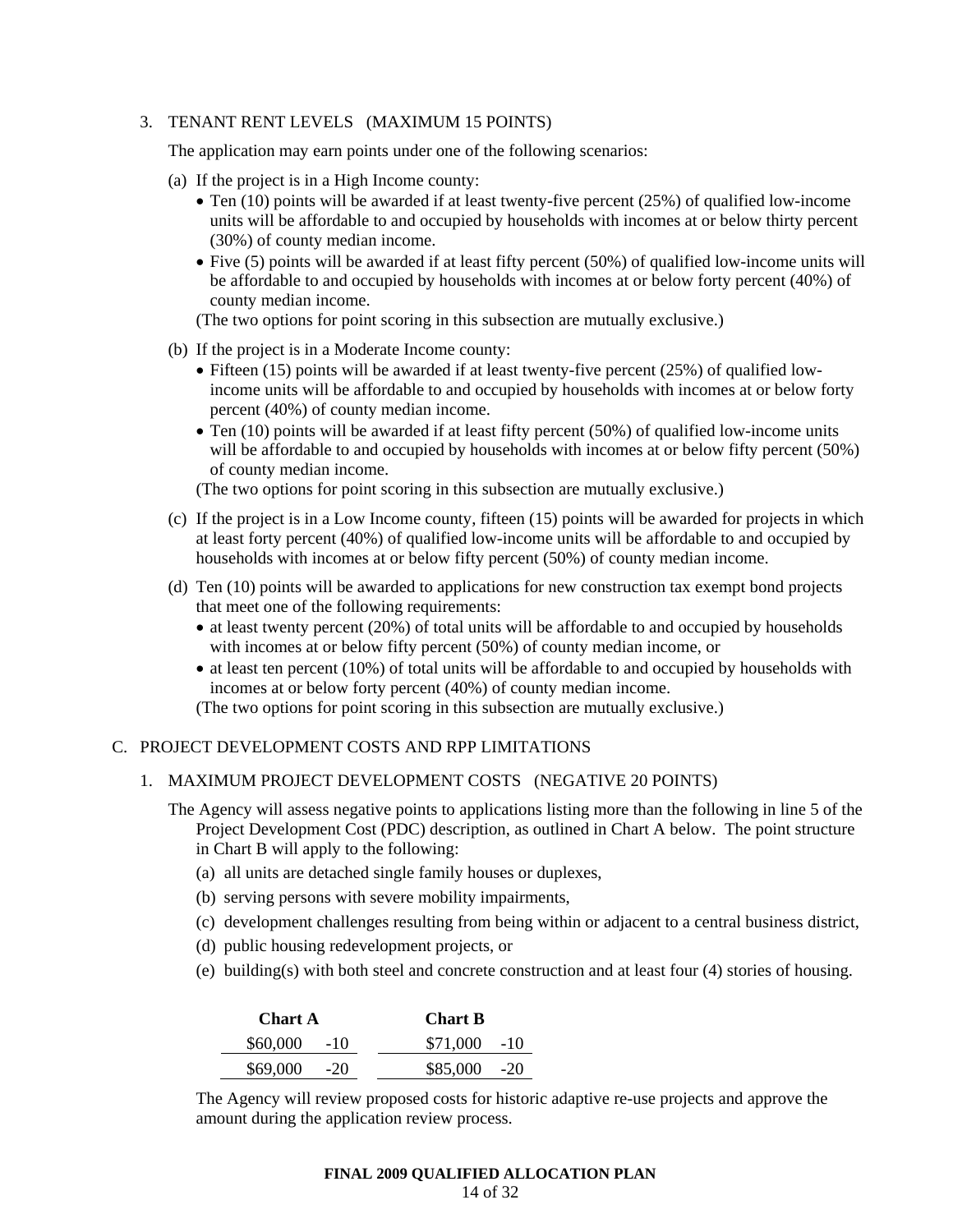# 3. TENANT RENT LEVELS (MAXIMUM 15 POINTS)

The application may earn points under one of the following scenarios:

- (a) If the project is in a High Income county:
	- Ten (10) points will be awarded if at least twenty-five percent (25%) of qualified low-income units will be affordable to and occupied by households with incomes at or below thirty percent (30%) of county median income.
	- Five (5) points will be awarded if at least fifty percent (50%) of qualified low-income units will be affordable to and occupied by households with incomes at or below forty percent (40%) of county median income.

(The two options for point scoring in this subsection are mutually exclusive.)

- (b) If the project is in a Moderate Income county:
	- Fifteen (15) points will be awarded if at least twenty-five percent (25%) of qualified lowincome units will be affordable to and occupied by households with incomes at or below forty percent (40%) of county median income.
	- Ten (10) points will be awarded if at least fifty percent (50%) of qualified low-income units will be affordable to and occupied by households with incomes at or below fifty percent (50%) of county median income.

(The two options for point scoring in this subsection are mutually exclusive.)

- (c) If the project is in a Low Income county, fifteen (15) points will be awarded for projects in which at least forty percent (40%) of qualified low-income units will be affordable to and occupied by households with incomes at or below fifty percent (50%) of county median income.
- (d) Ten (10) points will be awarded to applications for new construction tax exempt bond projects that meet one of the following requirements:
	- at least twenty percent (20%) of total units will be affordable to and occupied by households with incomes at or below fifty percent (50%) of county median income, or
	- at least ten percent (10%) of total units will be affordable to and occupied by households with incomes at or below forty percent (40%) of county median income.

(The two options for point scoring in this subsection are mutually exclusive.)

# C. PROJECT DEVELOPMENT COSTS AND RPP LIMITATIONS

#### 1. MAXIMUM PROJECT DEVELOPMENT COSTS (NEGATIVE 20 POINTS)

- The Agency will assess negative points to applications listing more than the following in line 5 of the Project Development Cost (PDC) description, as outlined in Chart A below. The point structure in Chart B will apply to the following:
	- (a) all units are detached single family houses or duplexes,
	- (b) serving persons with severe mobility impairments,
	- (c) development challenges resulting from being within or adjacent to a central business district,
	- (d) public housing redevelopment projects, or
	- (e) building(s) with both steel and concrete construction and at least four (4) stories of housing.

| <b>Chart A</b>    | <b>Chart B</b> |
|-------------------|----------------|
| \$60,000<br>$-10$ | $$71,000$ -10  |
| \$69,000<br>$-20$ | $$85,000$ -20  |

The Agency will review proposed costs for historic adaptive re-use projects and approve the amount during the application review process.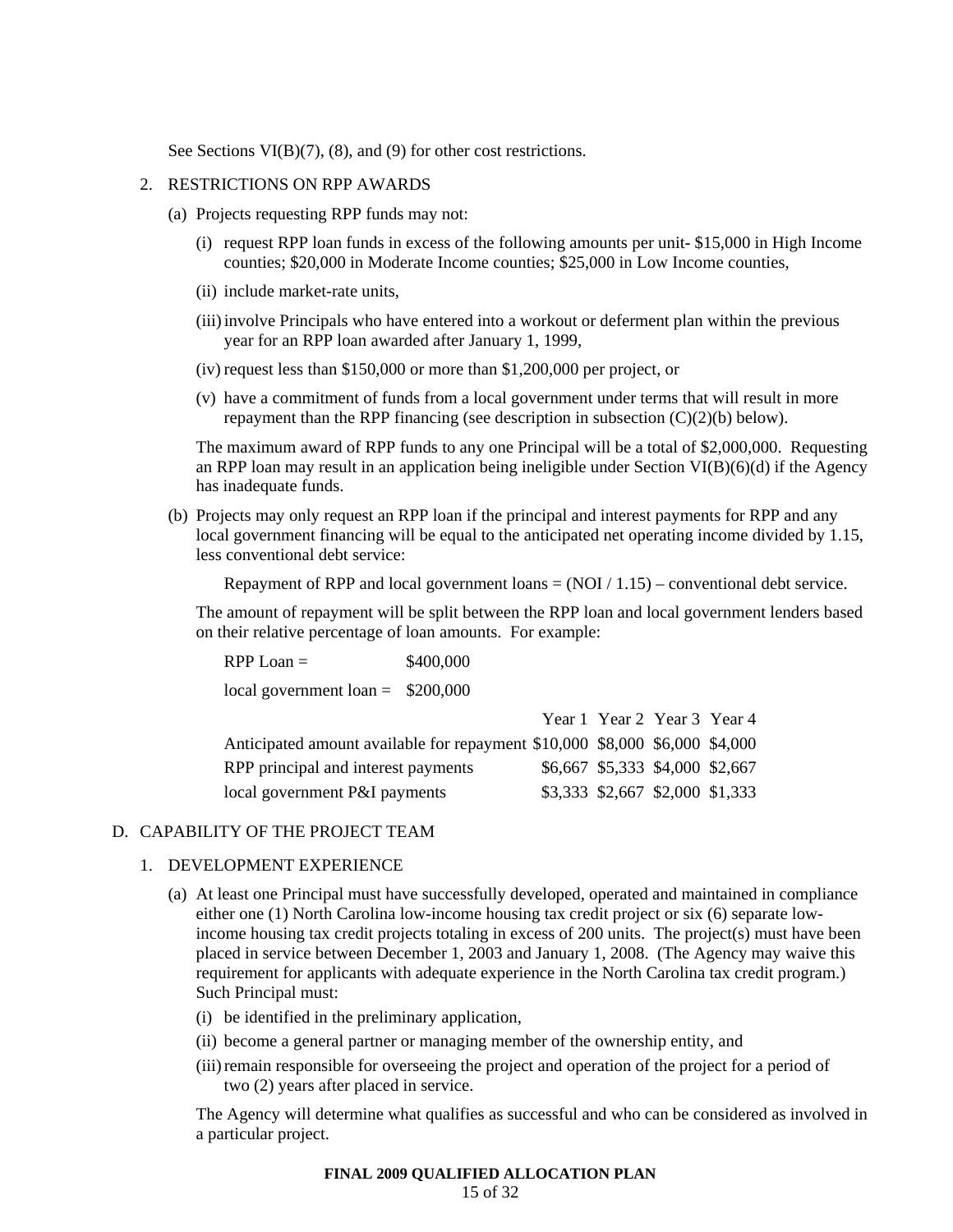See Sections VI(B)(7), (8), and (9) for other cost restrictions.

#### 2. RESTRICTIONS ON RPP AWARDS

- (a) Projects requesting RPP funds may not:
	- (i) request RPP loan funds in excess of the following amounts per unit- \$15,000 in High Income counties; \$20,000 in Moderate Income counties; \$25,000 in Low Income counties,
	- (ii) include market-rate units,
	- (iii) involve Principals who have entered into a workout or deferment plan within the previous year for an RPP loan awarded after January 1, 1999,
	- (iv) request less than \$150,000 or more than \$1,200,000 per project, or
	- (v) have a commitment of funds from a local government under terms that will result in more repayment than the RPP financing (see description in subsection (C)(2)(b) below).

The maximum award of RPP funds to any one Principal will be a total of \$2,000,000. Requesting an RPP loan may result in an application being ineligible under Section  $VI(B)(6)(d)$  if the Agency has inadequate funds.

(b) Projects may only request an RPP loan if the principal and interest payments for RPP and any local government financing will be equal to the anticipated net operating income divided by 1.15, less conventional debt service:

Repayment of RPP and local government loans  $= (NOI / 1.15)$  – conventional debt service.

The amount of repayment will be split between the RPP loan and local government lenders based on their relative percentage of loan amounts. For example:

| $RPP Loan =$                                                                | \$400,000 |  |                                 |  |
|-----------------------------------------------------------------------------|-----------|--|---------------------------------|--|
| local government loan = $$200,000$                                          |           |  |                                 |  |
|                                                                             |           |  | Year 1 Year 2 Year 3 Year 4     |  |
| Anticipated amount available for repayment \$10,000 \$8,000 \$6,000 \$4,000 |           |  |                                 |  |
| RPP principal and interest payments                                         |           |  | \$6,667 \$5,333 \$4,000 \$2,667 |  |
| local government P&I payments                                               |           |  | \$3,333 \$2,667 \$2,000 \$1,333 |  |

#### D. CAPABILITY OF THE PROJECT TEAM

#### 1. DEVELOPMENT EXPERIENCE

- (a) At least one Principal must have successfully developed, operated and maintained in compliance either one (1) North Carolina low-income housing tax credit project or six (6) separate lowincome housing tax credit projects totaling in excess of 200 units. The project(s) must have been placed in service between December 1, 2003 and January 1, 2008. (The Agency may waive this requirement for applicants with adequate experience in the North Carolina tax credit program.) Such Principal must:
	- (i) be identified in the preliminary application,
	- (ii) become a general partner or managing member of the ownership entity, and
	- (iii) remain responsible for overseeing the project and operation of the project for a period of two (2) years after placed in service.

The Agency will determine what qualifies as successful and who can be considered as involved in a particular project.

# **FINAL 2009 QUALIFIED ALLOCATION PLAN**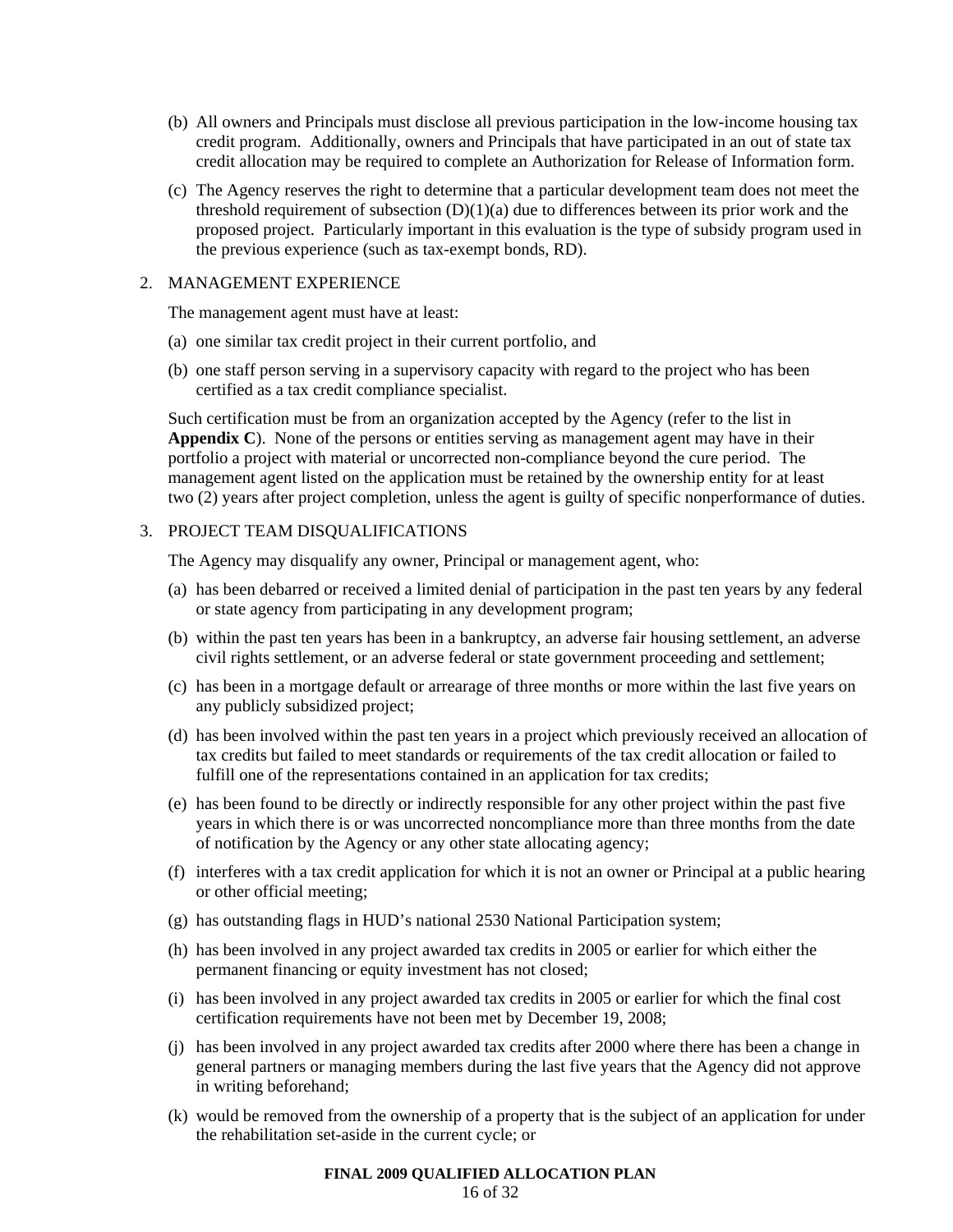- (b) All owners and Principals must disclose all previous participation in the low-income housing tax credit program. Additionally, owners and Principals that have participated in an out of state tax credit allocation may be required to complete an Authorization for Release of Information form.
- (c) The Agency reserves the right to determine that a particular development team does not meet the threshold requirement of subsection  $(D)(1)(a)$  due to differences between its prior work and the proposed project. Particularly important in this evaluation is the type of subsidy program used in the previous experience (such as tax-exempt bonds, RD).

#### 2. MANAGEMENT EXPERIENCE

The management agent must have at least:

- (a) one similar tax credit project in their current portfolio, and
- (b) one staff person serving in a supervisory capacity with regard to the project who has been certified as a tax credit compliance specialist.

Such certification must be from an organization accepted by the Agency (refer to the list in **Appendix C**). None of the persons or entities serving as management agent may have in their portfolio a project with material or uncorrected non-compliance beyond the cure period. The management agent listed on the application must be retained by the ownership entity for at least two (2) years after project completion, unless the agent is guilty of specific nonperformance of duties.

# 3. PROJECT TEAM DISQUALIFICATIONS

The Agency may disqualify any owner, Principal or management agent, who:

- (a) has been debarred or received a limited denial of participation in the past ten years by any federal or state agency from participating in any development program;
- (b) within the past ten years has been in a bankruptcy, an adverse fair housing settlement, an adverse civil rights settlement, or an adverse federal or state government proceeding and settlement;
- (c) has been in a mortgage default or arrearage of three months or more within the last five years on any publicly subsidized project;
- (d) has been involved within the past ten years in a project which previously received an allocation of tax credits but failed to meet standards or requirements of the tax credit allocation or failed to fulfill one of the representations contained in an application for tax credits;
- (e) has been found to be directly or indirectly responsible for any other project within the past five years in which there is or was uncorrected noncompliance more than three months from the date of notification by the Agency or any other state allocating agency;
- (f) interferes with a tax credit application for which it is not an owner or Principal at a public hearing or other official meeting;
- (g) has outstanding flags in HUD's national 2530 National Participation system;
- (h) has been involved in any project awarded tax credits in 2005 or earlier for which either the permanent financing or equity investment has not closed;
- (i) has been involved in any project awarded tax credits in 2005 or earlier for which the final cost certification requirements have not been met by December 19, 2008;
- (j) has been involved in any project awarded tax credits after 2000 where there has been a change in general partners or managing members during the last five years that the Agency did not approve in writing beforehand;
- (k) would be removed from the ownership of a property that is the subject of an application for under the rehabilitation set-aside in the current cycle; or

# **FINAL 2009 QUALIFIED ALLOCATION PLAN**

16 of 32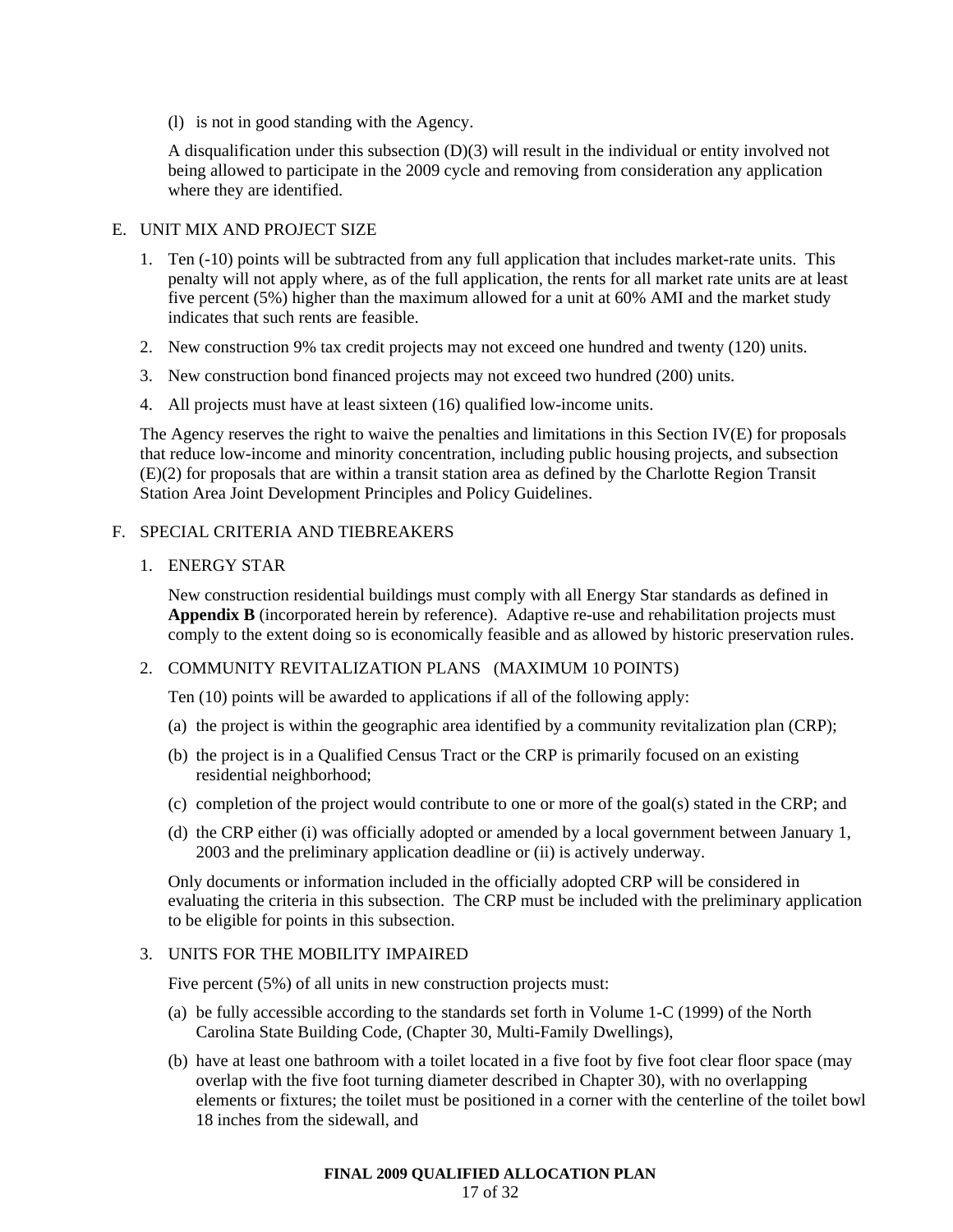(l) is not in good standing with the Agency.

A disqualification under this subsection (D)(3) will result in the individual or entity involved not being allowed to participate in the 2009 cycle and removing from consideration any application where they are identified.

# E. UNIT MIX AND PROJECT SIZE

- 1. Ten (-10) points will be subtracted from any full application that includes market-rate units. This penalty will not apply where, as of the full application, the rents for all market rate units are at least five percent (5%) higher than the maximum allowed for a unit at 60% AMI and the market study indicates that such rents are feasible.
- 2. New construction 9% tax credit projects may not exceed one hundred and twenty (120) units.
- 3. New construction bond financed projects may not exceed two hundred (200) units.
- 4. All projects must have at least sixteen (16) qualified low-income units.

The Agency reserves the right to waive the penalties and limitations in this Section IV(E) for proposals that reduce low-income and minority concentration, including public housing projects, and subsection (E)(2) for proposals that are within a transit station area as defined by the Charlotte Region Transit Station Area Joint Development Principles and Policy Guidelines.

# F. SPECIAL CRITERIA AND TIEBREAKERS

# 1. ENERGY STAR

New construction residential buildings must comply with all Energy Star standards as defined in **Appendix B** (incorporated herein by reference). Adaptive re-use and rehabilitation projects must comply to the extent doing so is economically feasible and as allowed by historic preservation rules.

# 2. COMMUNITY REVITALIZATION PLANS (MAXIMUM 10 POINTS)

Ten (10) points will be awarded to applications if all of the following apply:

- (a) the project is within the geographic area identified by a community revitalization plan (CRP);
- (b) the project is in a Qualified Census Tract or the CRP is primarily focused on an existing residential neighborhood;
- (c) completion of the project would contribute to one or more of the goal(s) stated in the CRP; and
- (d) the CRP either (i) was officially adopted or amended by a local government between January 1, 2003 and the preliminary application deadline or (ii) is actively underway.

Only documents or information included in the officially adopted CRP will be considered in evaluating the criteria in this subsection. The CRP must be included with the preliminary application to be eligible for points in this subsection.

# 3. UNITS FOR THE MOBILITY IMPAIRED

Five percent (5%) of all units in new construction projects must:

- (a) be fully accessible according to the standards set forth in Volume 1-C (1999) of the North Carolina State Building Code, (Chapter 30, Multi-Family Dwellings),
- (b) have at least one bathroom with a toilet located in a five foot by five foot clear floor space (may overlap with the five foot turning diameter described in Chapter 30), with no overlapping elements or fixtures; the toilet must be positioned in a corner with the centerline of the toilet bowl 18 inches from the sidewall, and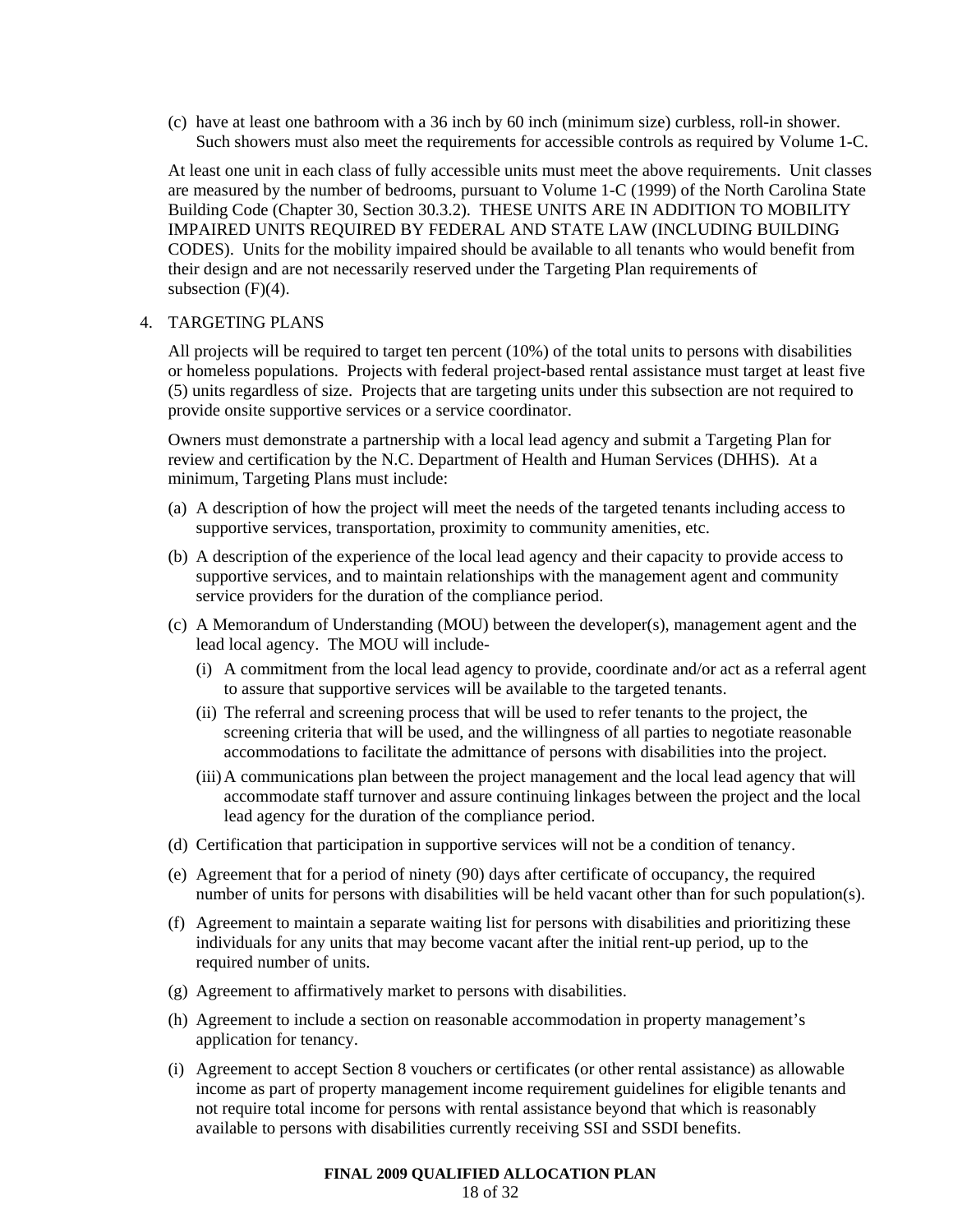(c) have at least one bathroom with a 36 inch by 60 inch (minimum size) curbless, roll-in shower. Such showers must also meet the requirements for accessible controls as required by Volume 1-C.

At least one unit in each class of fully accessible units must meet the above requirements. Unit classes are measured by the number of bedrooms, pursuant to Volume 1-C (1999) of the North Carolina State Building Code (Chapter 30, Section 30.3.2). THESE UNITS ARE IN ADDITION TO MOBILITY IMPAIRED UNITS REQUIRED BY FEDERAL AND STATE LAW (INCLUDING BUILDING CODES). Units for the mobility impaired should be available to all tenants who would benefit from their design and are not necessarily reserved under the Targeting Plan requirements of subsection  $(F)(4)$ .

#### 4. TARGETING PLANS

All projects will be required to target ten percent (10%) of the total units to persons with disabilities or homeless populations. Projects with federal project-based rental assistance must target at least five (5) units regardless of size. Projects that are targeting units under this subsection are not required to provide onsite supportive services or a service coordinator.

Owners must demonstrate a partnership with a local lead agency and submit a Targeting Plan for review and certification by the N.C. Department of Health and Human Services (DHHS). At a minimum, Targeting Plans must include:

- (a) A description of how the project will meet the needs of the targeted tenants including access to supportive services, transportation, proximity to community amenities, etc.
- (b) A description of the experience of the local lead agency and their capacity to provide access to supportive services, and to maintain relationships with the management agent and community service providers for the duration of the compliance period.
- (c) A Memorandum of Understanding (MOU) between the developer(s), management agent and the lead local agency. The MOU will include-
	- (i) A commitment from the local lead agency to provide, coordinate and/or act as a referral agent to assure that supportive services will be available to the targeted tenants.
	- (ii) The referral and screening process that will be used to refer tenants to the project, the screening criteria that will be used, and the willingness of all parties to negotiate reasonable accommodations to facilitate the admittance of persons with disabilities into the project.
	- (iii) A communications plan between the project management and the local lead agency that will accommodate staff turnover and assure continuing linkages between the project and the local lead agency for the duration of the compliance period.
- (d) Certification that participation in supportive services will not be a condition of tenancy.
- (e) Agreement that for a period of ninety (90) days after certificate of occupancy, the required number of units for persons with disabilities will be held vacant other than for such population(s).
- (f) Agreement to maintain a separate waiting list for persons with disabilities and prioritizing these individuals for any units that may become vacant after the initial rent-up period, up to the required number of units.
- (g) Agreement to affirmatively market to persons with disabilities.
- (h) Agreement to include a section on reasonable accommodation in property management's application for tenancy.
- (i) Agreement to accept Section 8 vouchers or certificates (or other rental assistance) as allowable income as part of property management income requirement guidelines for eligible tenants and not require total income for persons with rental assistance beyond that which is reasonably available to persons with disabilities currently receiving SSI and SSDI benefits.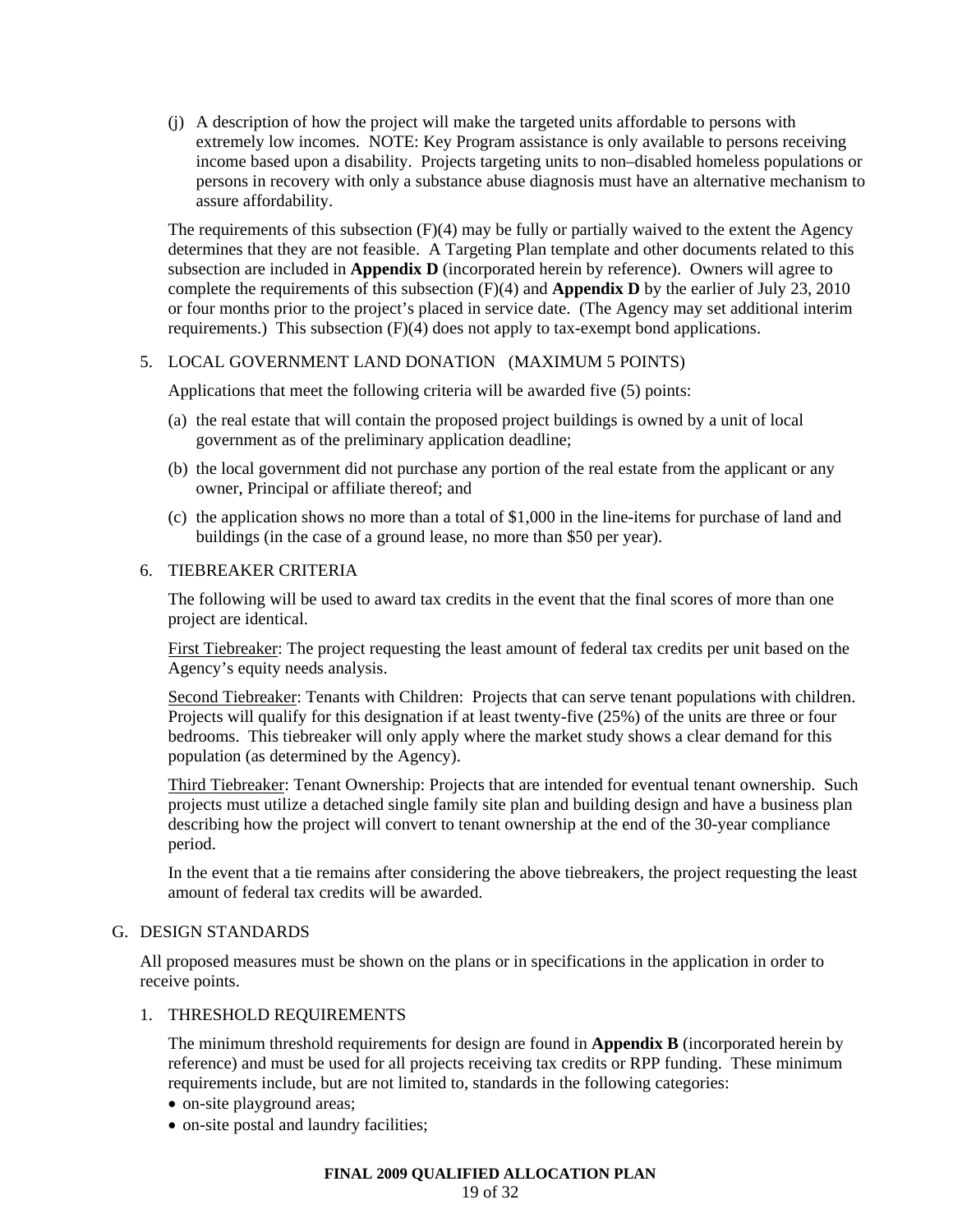(j) A description of how the project will make the targeted units affordable to persons with extremely low incomes. NOTE: Key Program assistance is only available to persons receiving income based upon a disability. Projects targeting units to non–disabled homeless populations or persons in recovery with only a substance abuse diagnosis must have an alternative mechanism to assure affordability.

The requirements of this subsection (F)(4) may be fully or partially waived to the extent the Agency determines that they are not feasible. A Targeting Plan template and other documents related to this subsection are included in **Appendix D** (incorporated herein by reference). Owners will agree to complete the requirements of this subsection (F)(4) and **Appendix D** by the earlier of July 23, 2010 or four months prior to the project's placed in service date. (The Agency may set additional interim requirements.) This subsection  $(F)(4)$  does not apply to tax-exempt bond applications.

# 5. LOCAL GOVERNMENT LAND DONATION (MAXIMUM 5 POINTS)

Applications that meet the following criteria will be awarded five (5) points:

- (a) the real estate that will contain the proposed project buildings is owned by a unit of local government as of the preliminary application deadline;
- (b) the local government did not purchase any portion of the real estate from the applicant or any owner, Principal or affiliate thereof; and
- (c) the application shows no more than a total of \$1,000 in the line-items for purchase of land and buildings (in the case of a ground lease, no more than \$50 per year).

#### 6. TIEBREAKER CRITERIA

The following will be used to award tax credits in the event that the final scores of more than one project are identical.

First Tiebreaker: The project requesting the least amount of federal tax credits per unit based on the Agency's equity needs analysis.

Second Tiebreaker: Tenants with Children: Projects that can serve tenant populations with children. Projects will qualify for this designation if at least twenty-five (25%) of the units are three or four bedrooms. This tiebreaker will only apply where the market study shows a clear demand for this population (as determined by the Agency).

Third Tiebreaker: Tenant Ownership: Projects that are intended for eventual tenant ownership. Such projects must utilize a detached single family site plan and building design and have a business plan describing how the project will convert to tenant ownership at the end of the 30-year compliance period.

In the event that a tie remains after considering the above tiebreakers, the project requesting the least amount of federal tax credits will be awarded.

#### G. DESIGN STANDARDS

All proposed measures must be shown on the plans or in specifications in the application in order to receive points.

#### 1. THRESHOLD REQUIREMENTS

The minimum threshold requirements for design are found in **Appendix B** (incorporated herein by reference) and must be used for all projects receiving tax credits or RPP funding. These minimum requirements include, but are not limited to, standards in the following categories:

- on-site playground areas;
- on-site postal and laundry facilities;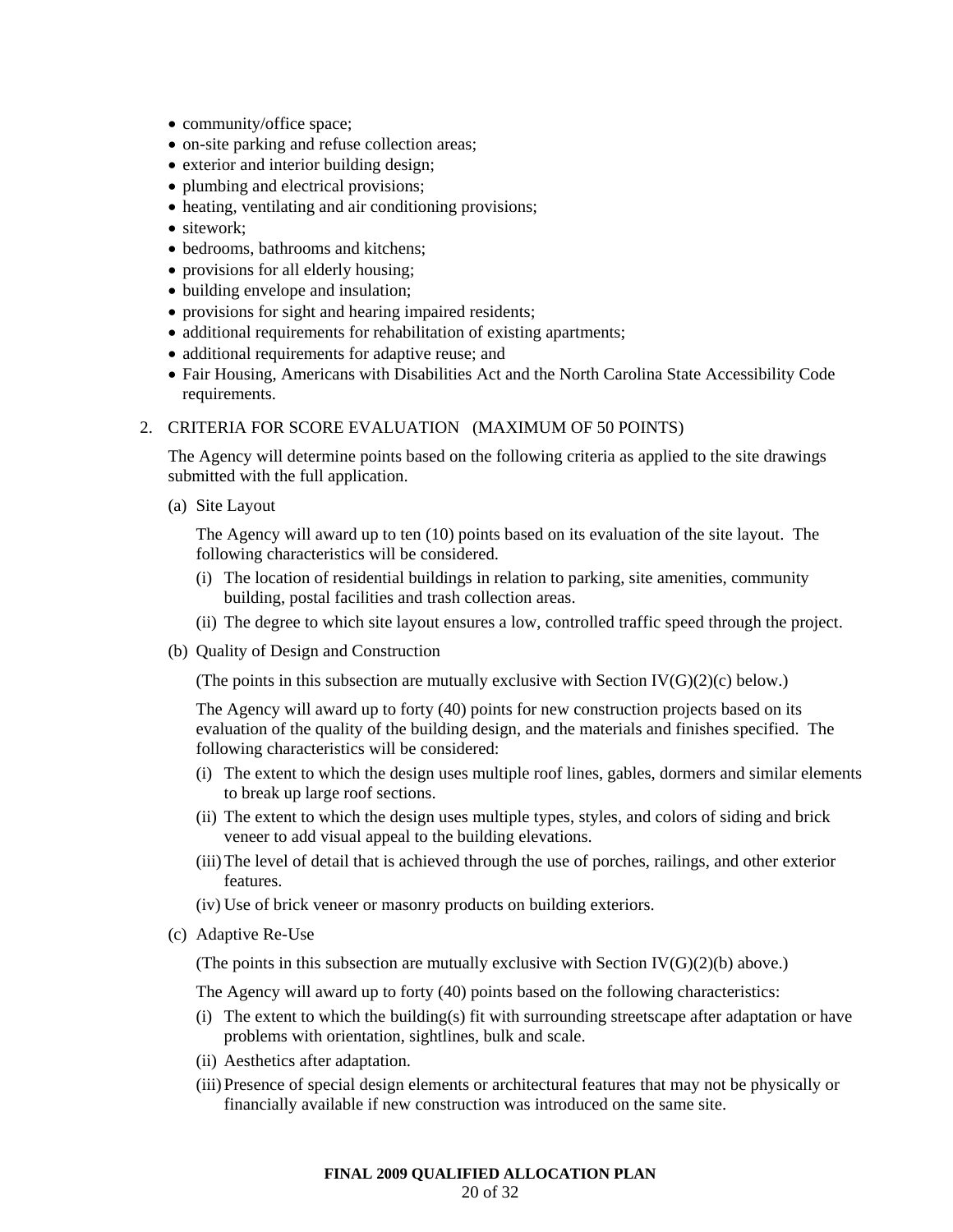- community/office space;
- on-site parking and refuse collection areas;
- exterior and interior building design;
- plumbing and electrical provisions;
- heating, ventilating and air conditioning provisions;
- sitework:
- bedrooms, bathrooms and kitchens;
- provisions for all elderly housing;
- building envelope and insulation;
- provisions for sight and hearing impaired residents;
- additional requirements for rehabilitation of existing apartments;
- additional requirements for adaptive reuse; and
- Fair Housing, Americans with Disabilities Act and the North Carolina State Accessibility Code requirements.

# 2. CRITERIA FOR SCORE EVALUATION (MAXIMUM OF 50 POINTS)

The Agency will determine points based on the following criteria as applied to the site drawings submitted with the full application.

(a) Site Layout

The Agency will award up to ten (10) points based on its evaluation of the site layout. The following characteristics will be considered.

- (i) The location of residential buildings in relation to parking, site amenities, community building, postal facilities and trash collection areas.
- (ii) The degree to which site layout ensures a low, controlled traffic speed through the project.
- (b) Quality of Design and Construction

(The points in this subsection are mutually exclusive with Section IV( $G(2)(c)$  below.)

The Agency will award up to forty (40) points for new construction projects based on its evaluation of the quality of the building design, and the materials and finishes specified. The following characteristics will be considered:

- (i) The extent to which the design uses multiple roof lines, gables, dormers and similar elements to break up large roof sections.
- (ii) The extent to which the design uses multiple types, styles, and colors of siding and brick veneer to add visual appeal to the building elevations.
- (iii) The level of detail that is achieved through the use of porches, railings, and other exterior features.
- (iv) Use of brick veneer or masonry products on building exteriors.
- (c) Adaptive Re-Use

(The points in this subsection are mutually exclusive with Section  $IV(G)(2)(b)$  above.)

The Agency will award up to forty (40) points based on the following characteristics:

- (i) The extent to which the building(s) fit with surrounding streetscape after adaptation or have problems with orientation, sightlines, bulk and scale.
- (ii) Aesthetics after adaptation.
- (iii) Presence of special design elements or architectural features that may not be physically or financially available if new construction was introduced on the same site.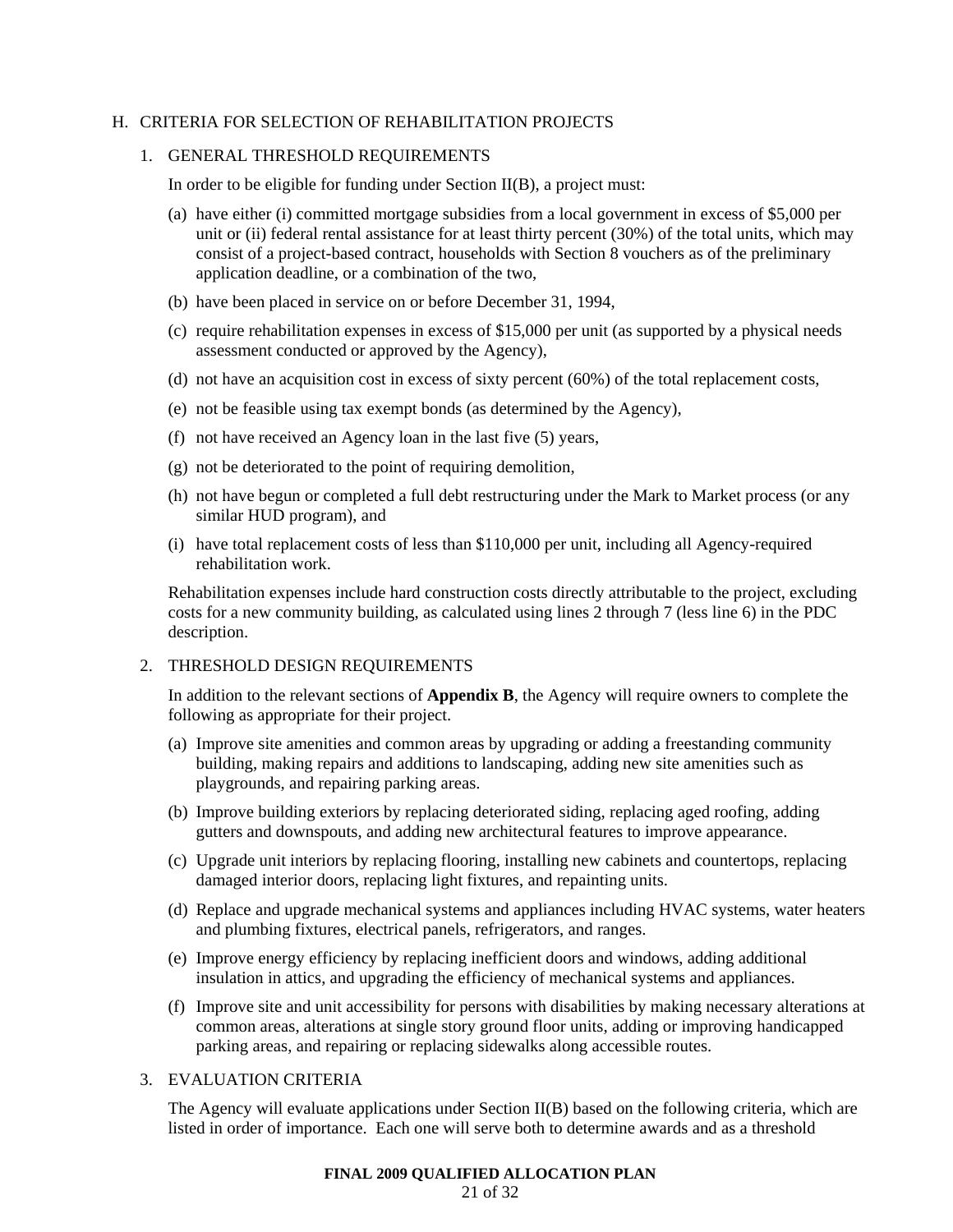#### H. CRITERIA FOR SELECTION OF REHABILITATION PROJECTS

#### 1. GENERAL THRESHOLD REQUIREMENTS

In order to be eligible for funding under Section II(B), a project must:

- (a) have either (i) committed mortgage subsidies from a local government in excess of \$5,000 per unit or (ii) federal rental assistance for at least thirty percent (30%) of the total units, which may consist of a project-based contract, households with Section 8 vouchers as of the preliminary application deadline, or a combination of the two,
- (b) have been placed in service on or before December 31, 1994,
- (c) require rehabilitation expenses in excess of \$15,000 per unit (as supported by a physical needs assessment conducted or approved by the Agency),
- (d) not have an acquisition cost in excess of sixty percent (60%) of the total replacement costs,
- (e) not be feasible using tax exempt bonds (as determined by the Agency),
- (f) not have received an Agency loan in the last five (5) years,
- (g) not be deteriorated to the point of requiring demolition,
- (h) not have begun or completed a full debt restructuring under the Mark to Market process (or any similar HUD program), and
- (i) have total replacement costs of less than \$110,000 per unit, including all Agency-required rehabilitation work.

Rehabilitation expenses include hard construction costs directly attributable to the project, excluding costs for a new community building, as calculated using lines 2 through 7 (less line 6) in the PDC description.

# 2. THRESHOLD DESIGN REQUIREMENTS

In addition to the relevant sections of **Appendix B**, the Agency will require owners to complete the following as appropriate for their project.

- (a) Improve site amenities and common areas by upgrading or adding a freestanding community building, making repairs and additions to landscaping, adding new site amenities such as playgrounds, and repairing parking areas.
- (b) Improve building exteriors by replacing deteriorated siding, replacing aged roofing, adding gutters and downspouts, and adding new architectural features to improve appearance.
- (c) Upgrade unit interiors by replacing flooring, installing new cabinets and countertops, replacing damaged interior doors, replacing light fixtures, and repainting units.
- (d) Replace and upgrade mechanical systems and appliances including HVAC systems, water heaters and plumbing fixtures, electrical panels, refrigerators, and ranges.
- (e) Improve energy efficiency by replacing inefficient doors and windows, adding additional insulation in attics, and upgrading the efficiency of mechanical systems and appliances.
- (f) Improve site and unit accessibility for persons with disabilities by making necessary alterations at common areas, alterations at single story ground floor units, adding or improving handicapped parking areas, and repairing or replacing sidewalks along accessible routes.

# 3. EVALUATION CRITERIA

The Agency will evaluate applications under Section II(B) based on the following criteria, which are listed in order of importance. Each one will serve both to determine awards and as a threshold

#### **FINAL 2009 QUALIFIED ALLOCATION PLAN**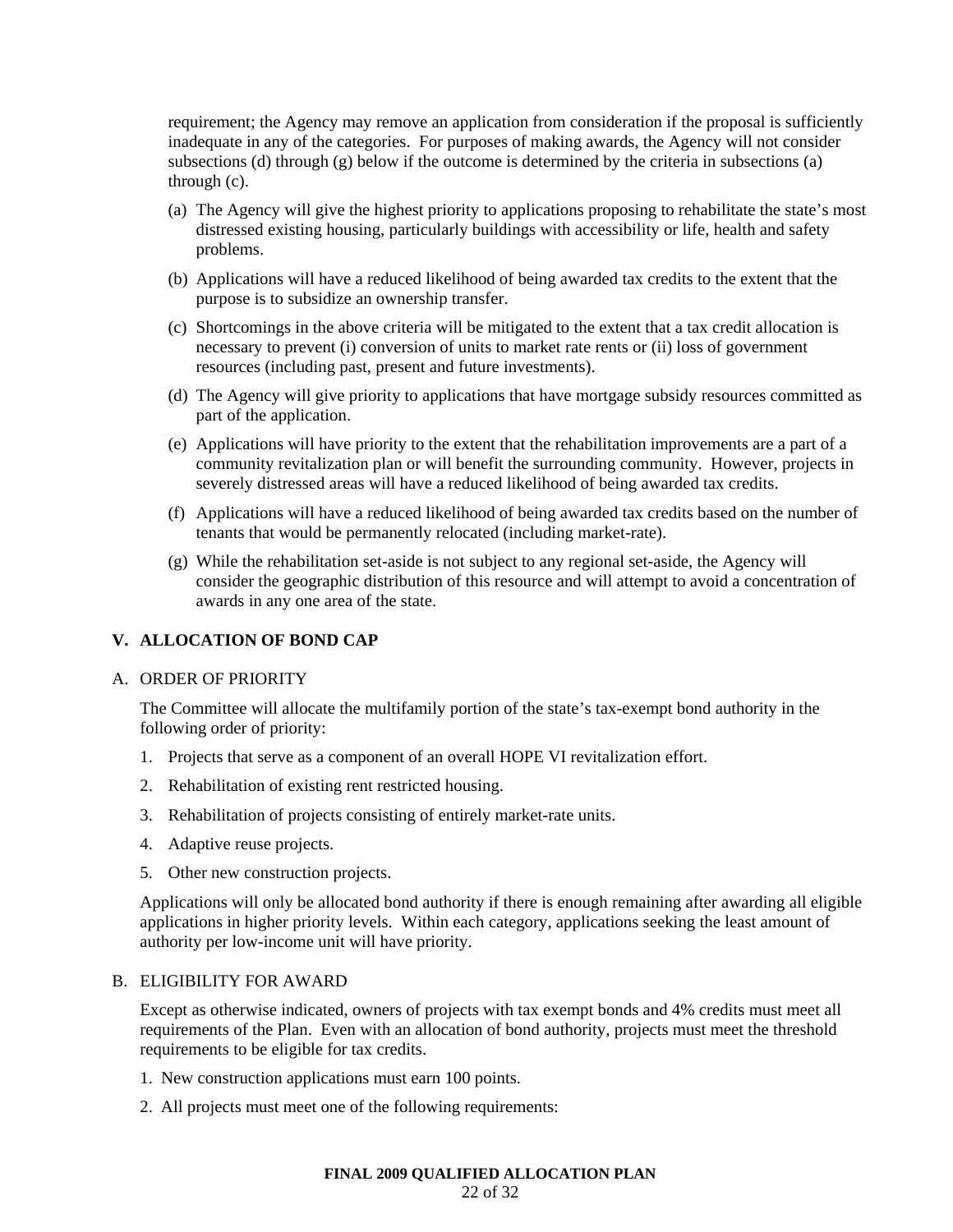requirement; the Agency may remove an application from consideration if the proposal is sufficiently inadequate in any of the categories. For purposes of making awards, the Agency will not consider subsections (d) through (g) below if the outcome is determined by the criteria in subsections (a) through (c).

- (a) The Agency will give the highest priority to applications proposing to rehabilitate the state's most distressed existing housing, particularly buildings with accessibility or life, health and safety problems.
- (b) Applications will have a reduced likelihood of being awarded tax credits to the extent that the purpose is to subsidize an ownership transfer.
- (c) Shortcomings in the above criteria will be mitigated to the extent that a tax credit allocation is necessary to prevent (i) conversion of units to market rate rents or (ii) loss of government resources (including past, present and future investments).
- (d) The Agency will give priority to applications that have mortgage subsidy resources committed as part of the application.
- (e) Applications will have priority to the extent that the rehabilitation improvements are a part of a community revitalization plan or will benefit the surrounding community. However, projects in severely distressed areas will have a reduced likelihood of being awarded tax credits.
- (f) Applications will have a reduced likelihood of being awarded tax credits based on the number of tenants that would be permanently relocated (including market-rate).
- (g) While the rehabilitation set-aside is not subject to any regional set-aside, the Agency will consider the geographic distribution of this resource and will attempt to avoid a concentration of awards in any one area of the state.

# **V. ALLOCATION OF BOND CAP**

#### A. ORDER OF PRIORITY

The Committee will allocate the multifamily portion of the state's tax-exempt bond authority in the following order of priority:

- 1. Projects that serve as a component of an overall HOPE VI revitalization effort.
- 2. Rehabilitation of existing rent restricted housing.
- 3. Rehabilitation of projects consisting of entirely market-rate units.
- 4. Adaptive reuse projects.
- 5. Other new construction projects.

Applications will only be allocated bond authority if there is enough remaining after awarding all eligible applications in higher priority levels. Within each category, applications seeking the least amount of authority per low-income unit will have priority.

#### B. ELIGIBILITY FOR AWARD

Except as otherwise indicated, owners of projects with tax exempt bonds and 4% credits must meet all requirements of the Plan. Even with an allocation of bond authority, projects must meet the threshold requirements to be eligible for tax credits.

- 1. New construction applications must earn 100 points.
- 2. All projects must meet one of the following requirements: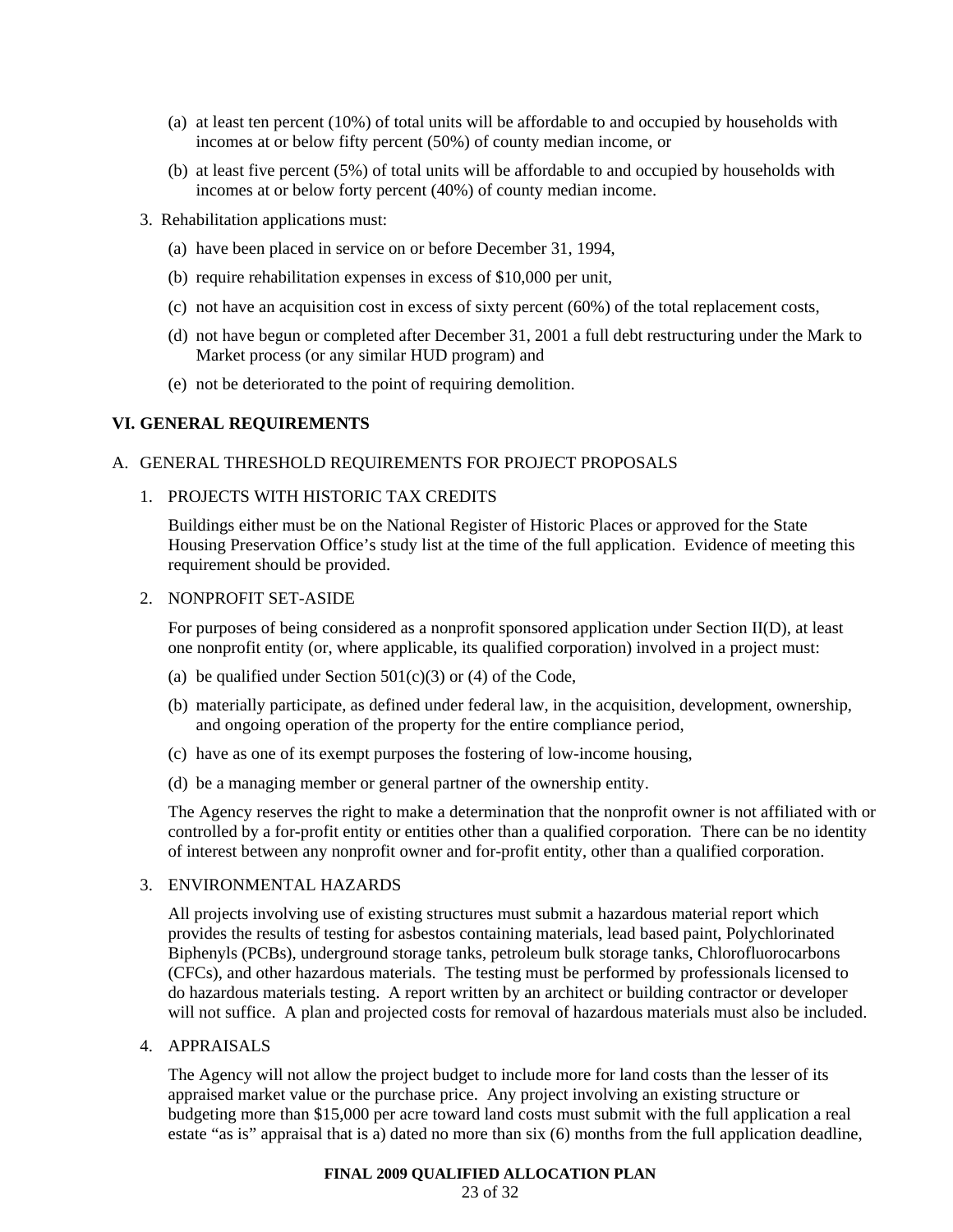- (a) at least ten percent (10%) of total units will be affordable to and occupied by households with incomes at or below fifty percent (50%) of county median income, or
- (b) at least five percent (5%) of total units will be affordable to and occupied by households with incomes at or below forty percent (40%) of county median income.
- 3. Rehabilitation applications must:
	- (a) have been placed in service on or before December 31, 1994,
	- (b) require rehabilitation expenses in excess of \$10,000 per unit,
	- (c) not have an acquisition cost in excess of sixty percent (60%) of the total replacement costs,
	- (d) not have begun or completed after December 31, 2001 a full debt restructuring under the Mark to Market process (or any similar HUD program) and
	- (e) not be deteriorated to the point of requiring demolition.

# **VI. GENERAL REQUIREMENTS**

# A. GENERAL THRESHOLD REQUIREMENTS FOR PROJECT PROPOSALS

1. PROJECTS WITH HISTORIC TAX CREDITS

Buildings either must be on the National Register of Historic Places or approved for the State Housing Preservation Office's study list at the time of the full application. Evidence of meeting this requirement should be provided.

# 2. NONPROFIT SET-ASIDE

For purposes of being considered as a nonprofit sponsored application under Section II(D), at least one nonprofit entity (or, where applicable, its qualified corporation) involved in a project must:

- (a) be qualified under Section  $501(c)(3)$  or (4) of the Code,
- (b) materially participate, as defined under federal law, in the acquisition, development, ownership, and ongoing operation of the property for the entire compliance period,
- (c) have as one of its exempt purposes the fostering of low-income housing,
- (d) be a managing member or general partner of the ownership entity.

The Agency reserves the right to make a determination that the nonprofit owner is not affiliated with or controlled by a for-profit entity or entities other than a qualified corporation. There can be no identity of interest between any nonprofit owner and for-profit entity, other than a qualified corporation.

# 3. ENVIRONMENTAL HAZARDS

All projects involving use of existing structures must submit a hazardous material report which provides the results of testing for asbestos containing materials, lead based paint, Polychlorinated Biphenyls (PCBs), underground storage tanks, petroleum bulk storage tanks, Chlorofluorocarbons (CFCs), and other hazardous materials. The testing must be performed by professionals licensed to do hazardous materials testing. A report written by an architect or building contractor or developer will not suffice. A plan and projected costs for removal of hazardous materials must also be included.

4. APPRAISALS

The Agency will not allow the project budget to include more for land costs than the lesser of its appraised market value or the purchase price. Any project involving an existing structure or budgeting more than \$15,000 per acre toward land costs must submit with the full application a real estate "as is" appraisal that is a) dated no more than six (6) months from the full application deadline,

#### **FINAL 2009 QUALIFIED ALLOCATION PLAN**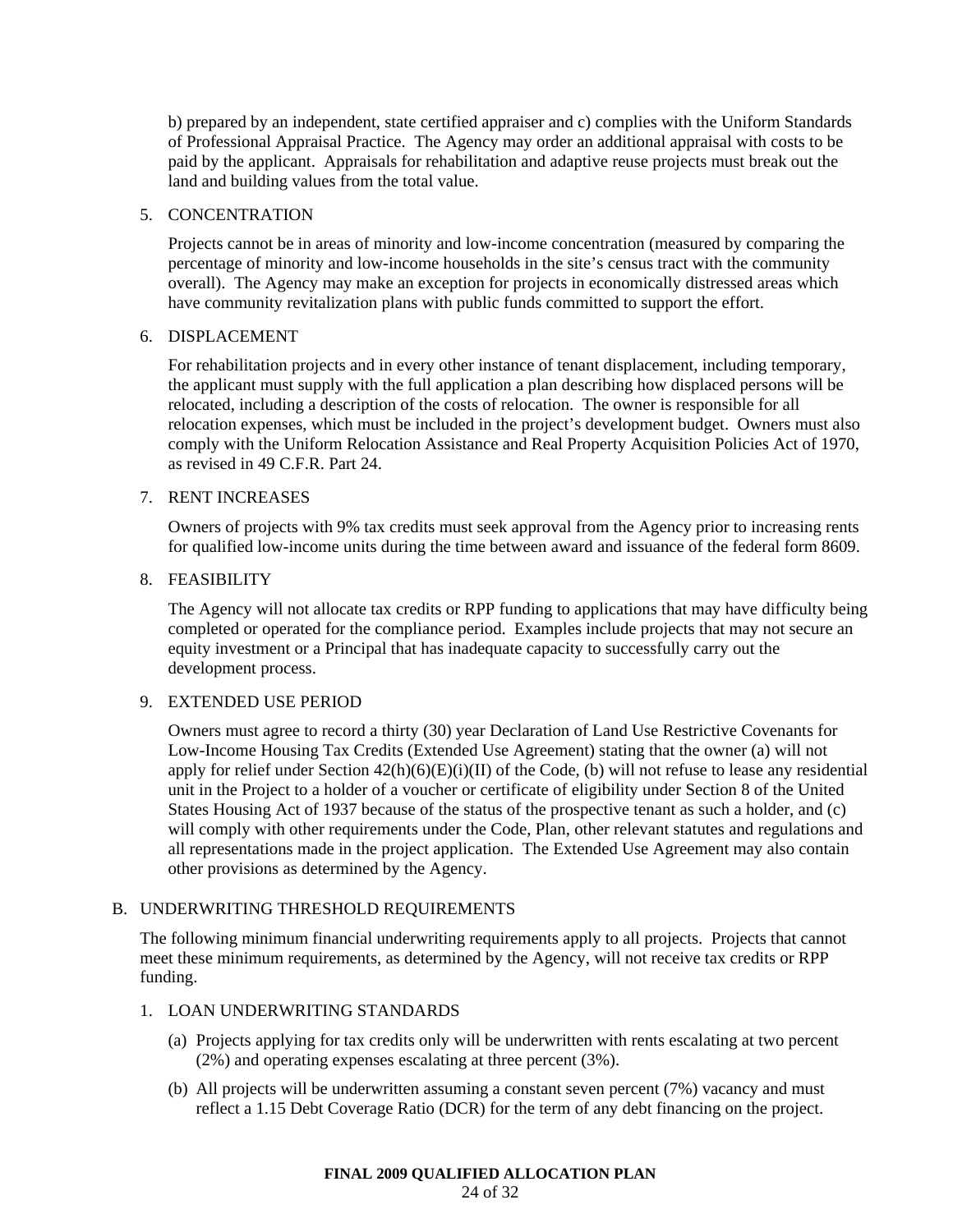b) prepared by an independent, state certified appraiser and c) complies with the Uniform Standards of Professional Appraisal Practice. The Agency may order an additional appraisal with costs to be paid by the applicant. Appraisals for rehabilitation and adaptive reuse projects must break out the land and building values from the total value.

# 5. CONCENTRATION

Projects cannot be in areas of minority and low-income concentration (measured by comparing the percentage of minority and low-income households in the site's census tract with the community overall). The Agency may make an exception for projects in economically distressed areas which have community revitalization plans with public funds committed to support the effort.

# 6. DISPLACEMENT

For rehabilitation projects and in every other instance of tenant displacement, including temporary, the applicant must supply with the full application a plan describing how displaced persons will be relocated, including a description of the costs of relocation. The owner is responsible for all relocation expenses, which must be included in the project's development budget. Owners must also comply with the Uniform Relocation Assistance and Real Property Acquisition Policies Act of 1970, as revised in 49 C.F.R. Part 24.

# 7. RENT INCREASES

Owners of projects with 9% tax credits must seek approval from the Agency prior to increasing rents for qualified low-income units during the time between award and issuance of the federal form 8609.

# 8. FEASIBILITY

The Agency will not allocate tax credits or RPP funding to applications that may have difficulty being completed or operated for the compliance period. Examples include projects that may not secure an equity investment or a Principal that has inadequate capacity to successfully carry out the development process.

# 9. EXTENDED USE PERIOD

Owners must agree to record a thirty (30) year Declaration of Land Use Restrictive Covenants for Low-Income Housing Tax Credits (Extended Use Agreement) stating that the owner (a) will not apply for relief under Section  $42(h)(6)(E)(i)(II)$  of the Code, (b) will not refuse to lease any residential unit in the Project to a holder of a voucher or certificate of eligibility under Section 8 of the United States Housing Act of 1937 because of the status of the prospective tenant as such a holder, and (c) will comply with other requirements under the Code, Plan, other relevant statutes and regulations and all representations made in the project application. The Extended Use Agreement may also contain other provisions as determined by the Agency.

# B. UNDERWRITING THRESHOLD REQUIREMENTS

The following minimum financial underwriting requirements apply to all projects. Projects that cannot meet these minimum requirements, as determined by the Agency, will not receive tax credits or RPP funding.

# 1. LOAN UNDERWRITING STANDARDS

- (a) Projects applying for tax credits only will be underwritten with rents escalating at two percent (2%) and operating expenses escalating at three percent (3%).
- (b) All projects will be underwritten assuming a constant seven percent (7%) vacancy and must reflect a 1.15 Debt Coverage Ratio (DCR) for the term of any debt financing on the project.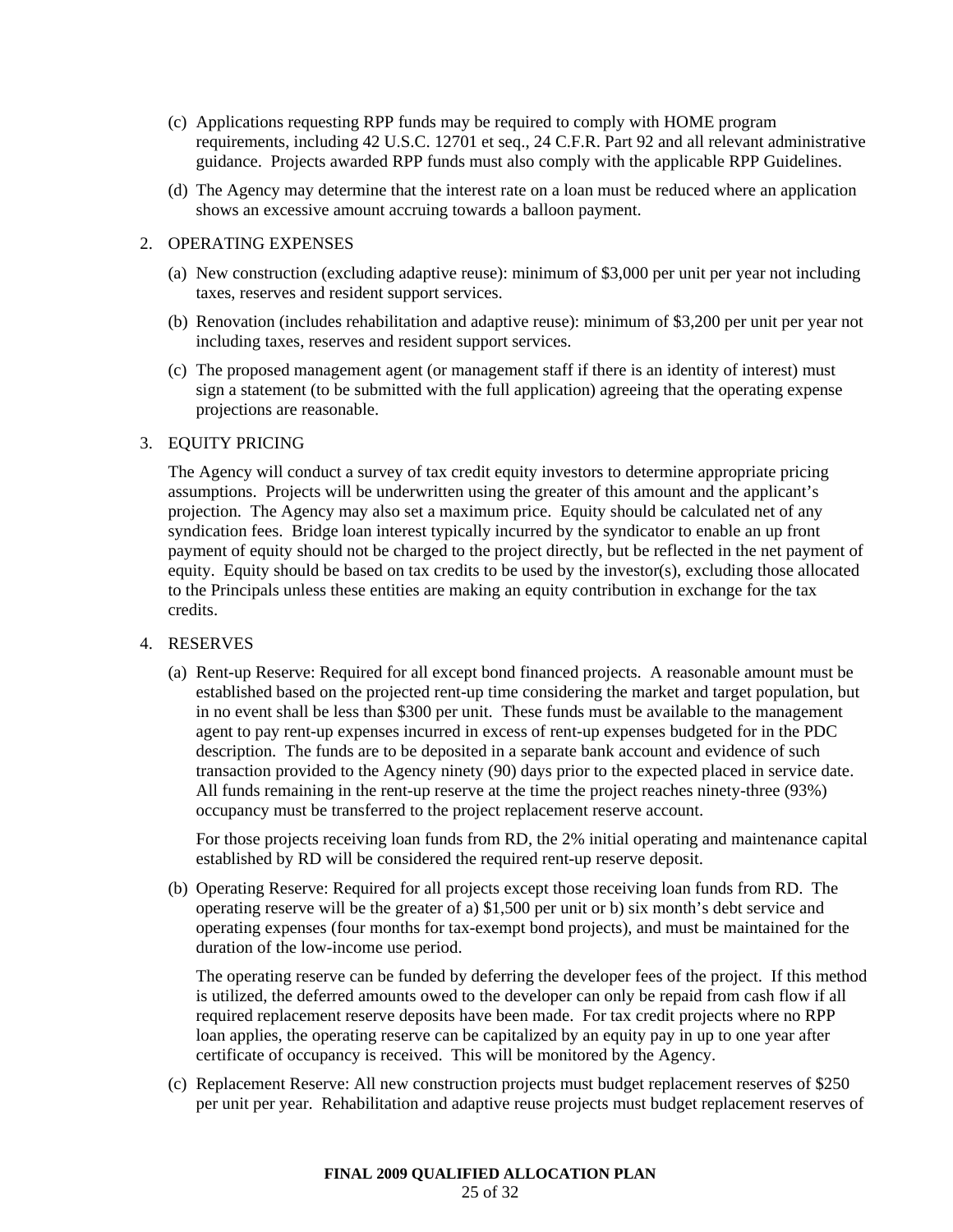- (c) Applications requesting RPP funds may be required to comply with HOME program requirements, including 42 U.S.C. 12701 et seq., 24 C.F.R. Part 92 and all relevant administrative guidance. Projects awarded RPP funds must also comply with the applicable RPP Guidelines.
- (d) The Agency may determine that the interest rate on a loan must be reduced where an application shows an excessive amount accruing towards a balloon payment.

# 2. OPERATING EXPENSES

- (a) New construction (excluding adaptive reuse): minimum of \$3,000 per unit per year not including taxes, reserves and resident support services.
- (b) Renovation (includes rehabilitation and adaptive reuse): minimum of \$3,200 per unit per year not including taxes, reserves and resident support services.
- (c) The proposed management agent (or management staff if there is an identity of interest) must sign a statement (to be submitted with the full application) agreeing that the operating expense projections are reasonable.

# 3. EQUITY PRICING

The Agency will conduct a survey of tax credit equity investors to determine appropriate pricing assumptions. Projects will be underwritten using the greater of this amount and the applicant's projection. The Agency may also set a maximum price. Equity should be calculated net of any syndication fees. Bridge loan interest typically incurred by the syndicator to enable an up front payment of equity should not be charged to the project directly, but be reflected in the net payment of equity. Equity should be based on tax credits to be used by the investor(s), excluding those allocated to the Principals unless these entities are making an equity contribution in exchange for the tax credits.

#### 4. RESERVES

(a) Rent-up Reserve: Required for all except bond financed projects. A reasonable amount must be established based on the projected rent-up time considering the market and target population, but in no event shall be less than \$300 per unit. These funds must be available to the management agent to pay rent-up expenses incurred in excess of rent-up expenses budgeted for in the PDC description. The funds are to be deposited in a separate bank account and evidence of such transaction provided to the Agency ninety (90) days prior to the expected placed in service date. All funds remaining in the rent-up reserve at the time the project reaches ninety-three (93%) occupancy must be transferred to the project replacement reserve account.

For those projects receiving loan funds from RD, the 2% initial operating and maintenance capital established by RD will be considered the required rent-up reserve deposit.

(b) Operating Reserve: Required for all projects except those receiving loan funds from RD. The operating reserve will be the greater of a) \$1,500 per unit or b) six month's debt service and operating expenses (four months for tax-exempt bond projects), and must be maintained for the duration of the low-income use period.

The operating reserve can be funded by deferring the developer fees of the project. If this method is utilized, the deferred amounts owed to the developer can only be repaid from cash flow if all required replacement reserve deposits have been made. For tax credit projects where no RPP loan applies, the operating reserve can be capitalized by an equity pay in up to one year after certificate of occupancy is received. This will be monitored by the Agency.

(c) Replacement Reserve: All new construction projects must budget replacement reserves of \$250 per unit per year. Rehabilitation and adaptive reuse projects must budget replacement reserves of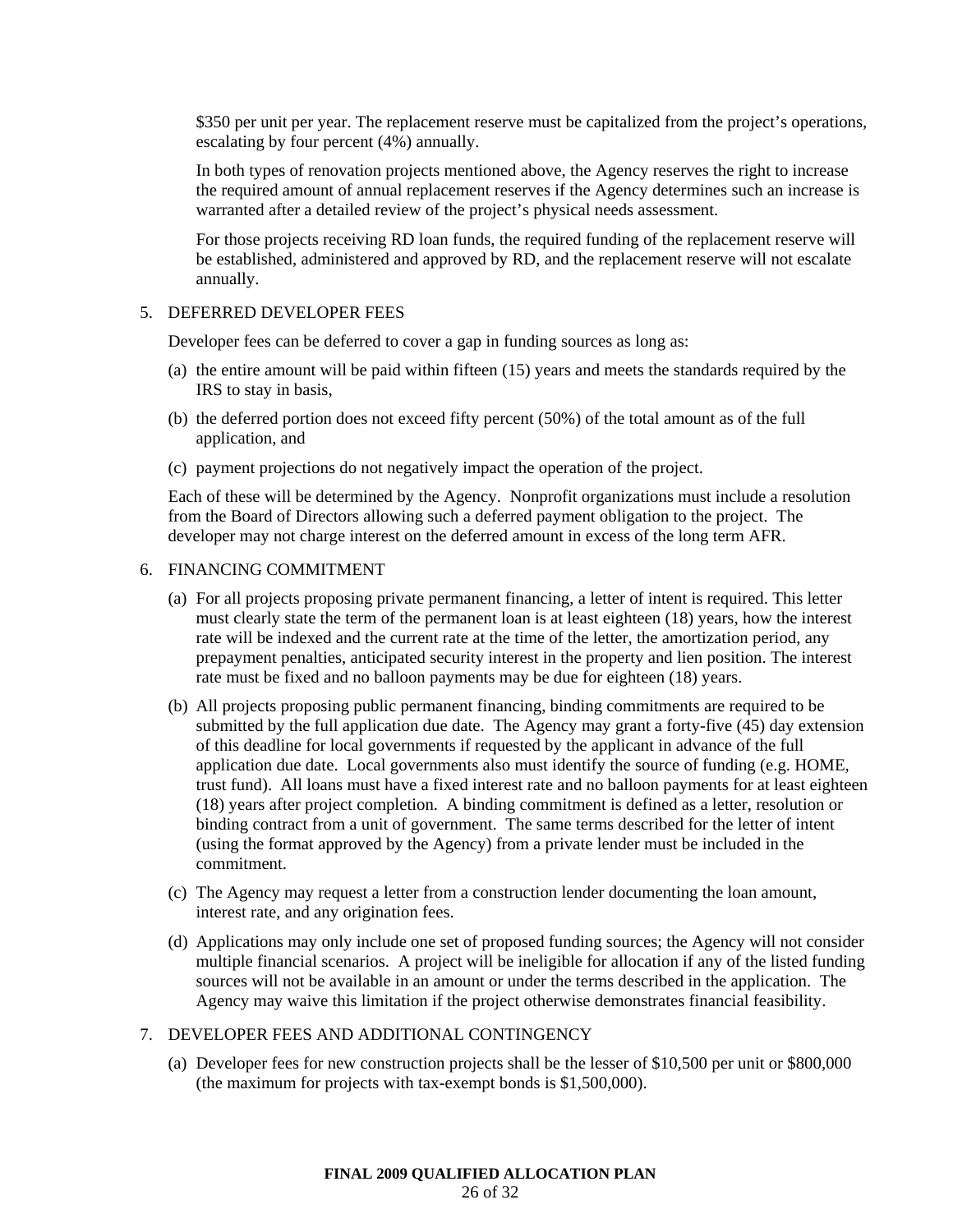\$350 per unit per year. The replacement reserve must be capitalized from the project's operations, escalating by four percent (4%) annually.

In both types of renovation projects mentioned above, the Agency reserves the right to increase the required amount of annual replacement reserves if the Agency determines such an increase is warranted after a detailed review of the project's physical needs assessment.

For those projects receiving RD loan funds, the required funding of the replacement reserve will be established, administered and approved by RD, and the replacement reserve will not escalate annually.

#### 5. DEFERRED DEVELOPER FEES

Developer fees can be deferred to cover a gap in funding sources as long as:

- (a) the entire amount will be paid within fifteen (15) years and meets the standards required by the IRS to stay in basis,
- (b) the deferred portion does not exceed fifty percent (50%) of the total amount as of the full application, and
- (c) payment projections do not negatively impact the operation of the project.

Each of these will be determined by the Agency. Nonprofit organizations must include a resolution from the Board of Directors allowing such a deferred payment obligation to the project. The developer may not charge interest on the deferred amount in excess of the long term AFR.

# 6. FINANCING COMMITMENT

- (a) For all projects proposing private permanent financing, a letter of intent is required. This letter must clearly state the term of the permanent loan is at least eighteen (18) years, how the interest rate will be indexed and the current rate at the time of the letter, the amortization period, any prepayment penalties, anticipated security interest in the property and lien position. The interest rate must be fixed and no balloon payments may be due for eighteen (18) years.
- (b) All projects proposing public permanent financing, binding commitments are required to be submitted by the full application due date. The Agency may grant a forty-five (45) day extension of this deadline for local governments if requested by the applicant in advance of the full application due date. Local governments also must identify the source of funding (e.g. HOME, trust fund). All loans must have a fixed interest rate and no balloon payments for at least eighteen (18) years after project completion. A binding commitment is defined as a letter, resolution or binding contract from a unit of government. The same terms described for the letter of intent (using the format approved by the Agency) from a private lender must be included in the commitment.
- (c) The Agency may request a letter from a construction lender documenting the loan amount, interest rate, and any origination fees.
- (d) Applications may only include one set of proposed funding sources; the Agency will not consider multiple financial scenarios. A project will be ineligible for allocation if any of the listed funding sources will not be available in an amount or under the terms described in the application. The Agency may waive this limitation if the project otherwise demonstrates financial feasibility.

#### 7. DEVELOPER FEES AND ADDITIONAL CONTINGENCY

(a) Developer fees for new construction projects shall be the lesser of \$10,500 per unit or \$800,000 (the maximum for projects with tax-exempt bonds is \$1,500,000).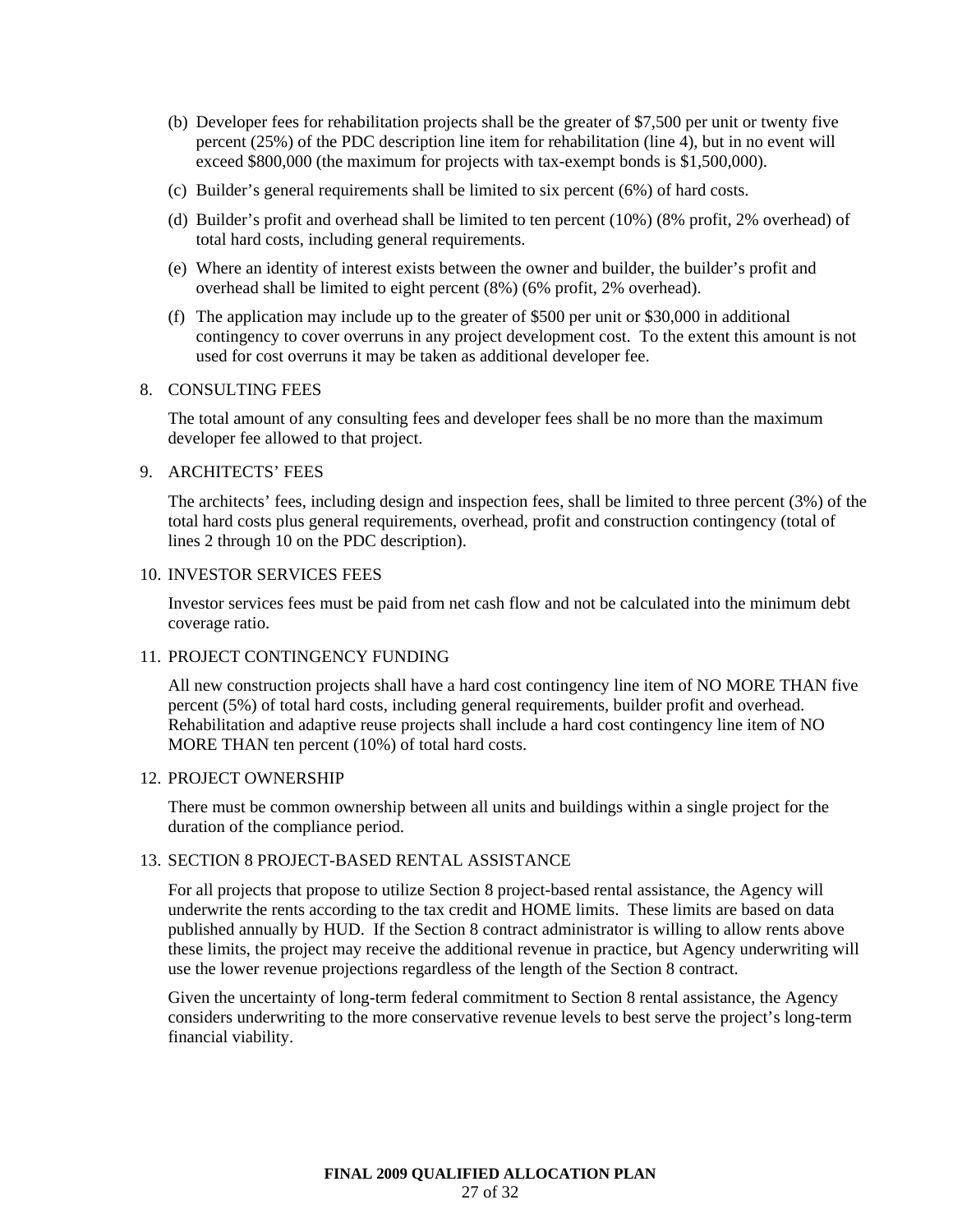- (b) Developer fees for rehabilitation projects shall be the greater of \$7,500 per unit or twenty five percent (25%) of the PDC description line item for rehabilitation (line 4), but in no event will exceed \$800,000 (the maximum for projects with tax-exempt bonds is \$1,500,000).
- (c) Builder's general requirements shall be limited to six percent (6%) of hard costs.
- (d) Builder's profit and overhead shall be limited to ten percent (10%) (8% profit, 2% overhead) of total hard costs, including general requirements.
- (e) Where an identity of interest exists between the owner and builder, the builder's profit and overhead shall be limited to eight percent (8%) (6% profit, 2% overhead).
- (f) The application may include up to the greater of \$500 per unit or \$30,000 in additional contingency to cover overruns in any project development cost. To the extent this amount is not used for cost overruns it may be taken as additional developer fee.

#### 8. CONSULTING FEES

The total amount of any consulting fees and developer fees shall be no more than the maximum developer fee allowed to that project.

### 9. ARCHITECTS' FEES

The architects' fees, including design and inspection fees, shall be limited to three percent (3%) of the total hard costs plus general requirements, overhead, profit and construction contingency (total of lines 2 through 10 on the PDC description).

# 10. INVESTOR SERVICES FEES

Investor services fees must be paid from net cash flow and not be calculated into the minimum debt coverage ratio.

#### 11. PROJECT CONTINGENCY FUNDING

All new construction projects shall have a hard cost contingency line item of NO MORE THAN five percent (5%) of total hard costs, including general requirements, builder profit and overhead. Rehabilitation and adaptive reuse projects shall include a hard cost contingency line item of NO MORE THAN ten percent (10%) of total hard costs.

#### 12. PROJECT OWNERSHIP

There must be common ownership between all units and buildings within a single project for the duration of the compliance period.

#### 13. SECTION 8 PROJECT-BASED RENTAL ASSISTANCE

For all projects that propose to utilize Section 8 project-based rental assistance, the Agency will underwrite the rents according to the tax credit and HOME limits. These limits are based on data published annually by HUD. If the Section 8 contract administrator is willing to allow rents above these limits, the project may receive the additional revenue in practice, but Agency underwriting will use the lower revenue projections regardless of the length of the Section 8 contract.

Given the uncertainty of long-term federal commitment to Section 8 rental assistance, the Agency considers underwriting to the more conservative revenue levels to best serve the project's long-term financial viability.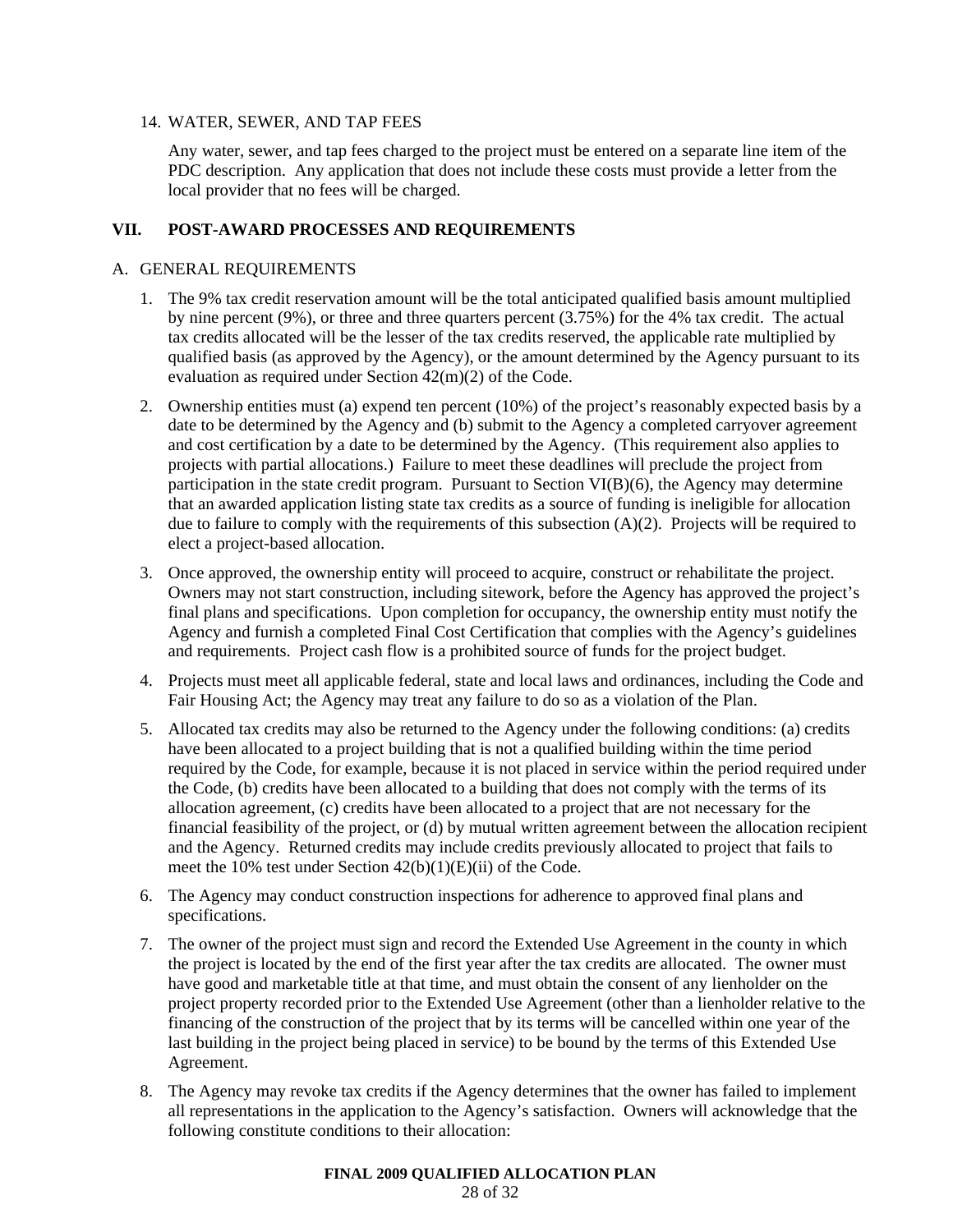# 14. WATER, SEWER, AND TAP FEES

Any water, sewer, and tap fees charged to the project must be entered on a separate line item of the PDC description. Any application that does not include these costs must provide a letter from the local provider that no fees will be charged.

# **VII. POST-AWARD PROCESSES AND REQUIREMENTS**

# A. GENERAL REQUIREMENTS

- 1. The 9% tax credit reservation amount will be the total anticipated qualified basis amount multiplied by nine percent (9%), or three and three quarters percent (3.75%) for the 4% tax credit. The actual tax credits allocated will be the lesser of the tax credits reserved, the applicable rate multiplied by qualified basis (as approved by the Agency), or the amount determined by the Agency pursuant to its evaluation as required under Section 42(m)(2) of the Code.
- 2. Ownership entities must (a) expend ten percent (10%) of the project's reasonably expected basis by a date to be determined by the Agency and (b) submit to the Agency a completed carryover agreement and cost certification by a date to be determined by the Agency. (This requirement also applies to projects with partial allocations.) Failure to meet these deadlines will preclude the project from participation in the state credit program. Pursuant to Section VI(B)(6), the Agency may determine that an awarded application listing state tax credits as a source of funding is ineligible for allocation due to failure to comply with the requirements of this subsection (A)(2). Projects will be required to elect a project-based allocation.
- 3. Once approved, the ownership entity will proceed to acquire, construct or rehabilitate the project. Owners may not start construction, including sitework, before the Agency has approved the project's final plans and specifications. Upon completion for occupancy, the ownership entity must notify the Agency and furnish a completed Final Cost Certification that complies with the Agency's guidelines and requirements. Project cash flow is a prohibited source of funds for the project budget.
- 4. Projects must meet all applicable federal, state and local laws and ordinances, including the Code and Fair Housing Act; the Agency may treat any failure to do so as a violation of the Plan.
- 5. Allocated tax credits may also be returned to the Agency under the following conditions: (a) credits have been allocated to a project building that is not a qualified building within the time period required by the Code, for example, because it is not placed in service within the period required under the Code, (b) credits have been allocated to a building that does not comply with the terms of its allocation agreement, (c) credits have been allocated to a project that are not necessary for the financial feasibility of the project, or (d) by mutual written agreement between the allocation recipient and the Agency. Returned credits may include credits previously allocated to project that fails to meet the 10% test under Section 42(b)(1)(E)(ii) of the Code.
- 6. The Agency may conduct construction inspections for adherence to approved final plans and specifications.
- 7. The owner of the project must sign and record the Extended Use Agreement in the county in which the project is located by the end of the first year after the tax credits are allocated. The owner must have good and marketable title at that time, and must obtain the consent of any lienholder on the project property recorded prior to the Extended Use Agreement (other than a lienholder relative to the financing of the construction of the project that by its terms will be cancelled within one year of the last building in the project being placed in service) to be bound by the terms of this Extended Use Agreement.
- 8. The Agency may revoke tax credits if the Agency determines that the owner has failed to implement all representations in the application to the Agency's satisfaction. Owners will acknowledge that the following constitute conditions to their allocation: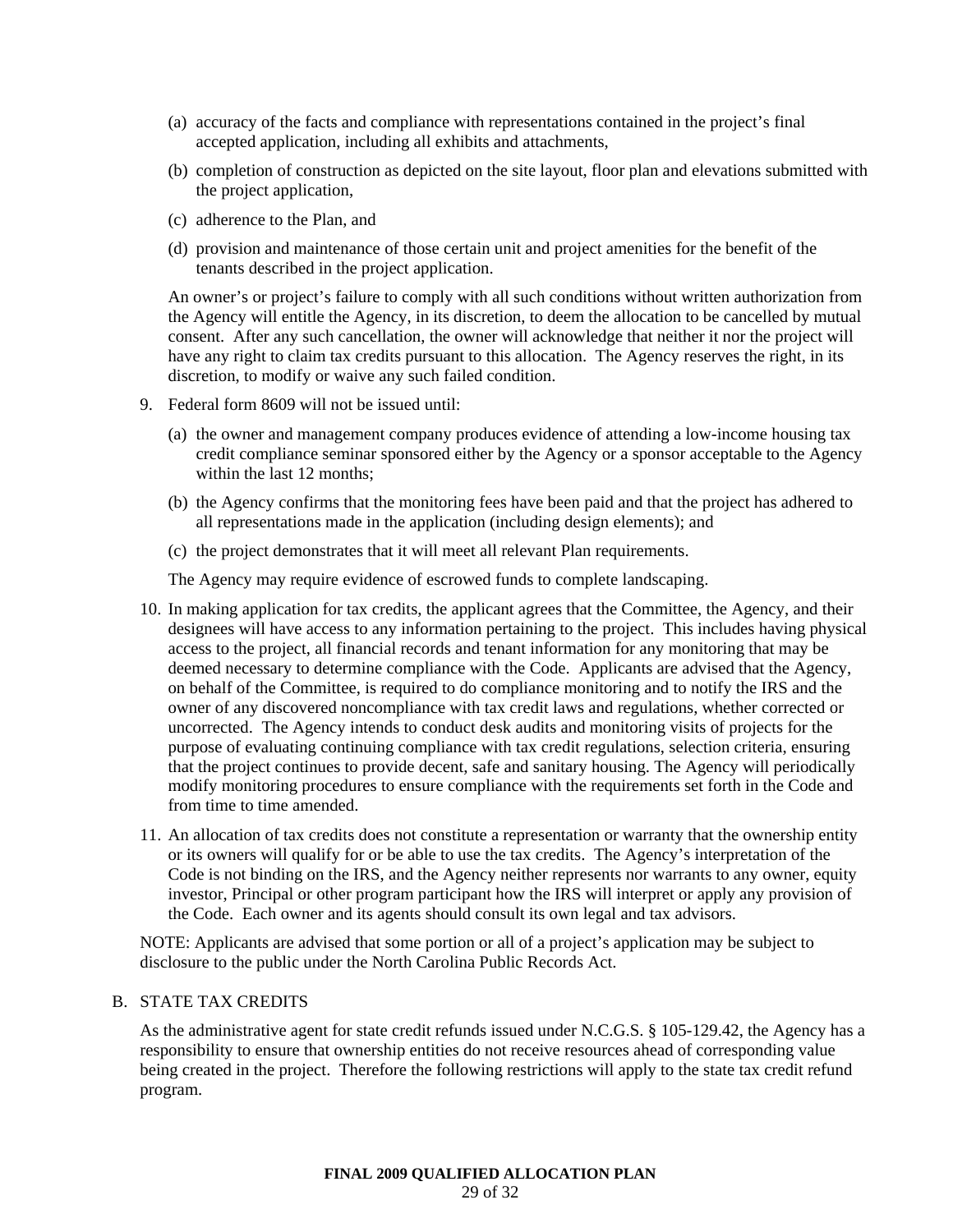- (a) accuracy of the facts and compliance with representations contained in the project's final accepted application, including all exhibits and attachments,
- (b) completion of construction as depicted on the site layout, floor plan and elevations submitted with the project application,
- (c) adherence to the Plan, and
- (d) provision and maintenance of those certain unit and project amenities for the benefit of the tenants described in the project application.

An owner's or project's failure to comply with all such conditions without written authorization from the Agency will entitle the Agency, in its discretion, to deem the allocation to be cancelled by mutual consent. After any such cancellation, the owner will acknowledge that neither it nor the project will have any right to claim tax credits pursuant to this allocation. The Agency reserves the right, in its discretion, to modify or waive any such failed condition.

- 9. Federal form 8609 will not be issued until:
	- (a) the owner and management company produces evidence of attending a low-income housing tax credit compliance seminar sponsored either by the Agency or a sponsor acceptable to the Agency within the last 12 months;
	- (b) the Agency confirms that the monitoring fees have been paid and that the project has adhered to all representations made in the application (including design elements); and
	- (c) the project demonstrates that it will meet all relevant Plan requirements.

The Agency may require evidence of escrowed funds to complete landscaping.

- 10. In making application for tax credits, the applicant agrees that the Committee, the Agency, and their designees will have access to any information pertaining to the project. This includes having physical access to the project, all financial records and tenant information for any monitoring that may be deemed necessary to determine compliance with the Code. Applicants are advised that the Agency, on behalf of the Committee, is required to do compliance monitoring and to notify the IRS and the owner of any discovered noncompliance with tax credit laws and regulations, whether corrected or uncorrected. The Agency intends to conduct desk audits and monitoring visits of projects for the purpose of evaluating continuing compliance with tax credit regulations, selection criteria, ensuring that the project continues to provide decent, safe and sanitary housing. The Agency will periodically modify monitoring procedures to ensure compliance with the requirements set forth in the Code and from time to time amended.
- 11. An allocation of tax credits does not constitute a representation or warranty that the ownership entity or its owners will qualify for or be able to use the tax credits. The Agency's interpretation of the Code is not binding on the IRS, and the Agency neither represents nor warrants to any owner, equity investor, Principal or other program participant how the IRS will interpret or apply any provision of the Code. Each owner and its agents should consult its own legal and tax advisors.

NOTE: Applicants are advised that some portion or all of a project's application may be subject to disclosure to the public under the North Carolina Public Records Act.

# B. STATE TAX CREDITS

As the administrative agent for state credit refunds issued under N.C.G.S. § 105-129.42, the Agency has a responsibility to ensure that ownership entities do not receive resources ahead of corresponding value being created in the project. Therefore the following restrictions will apply to the state tax credit refund program.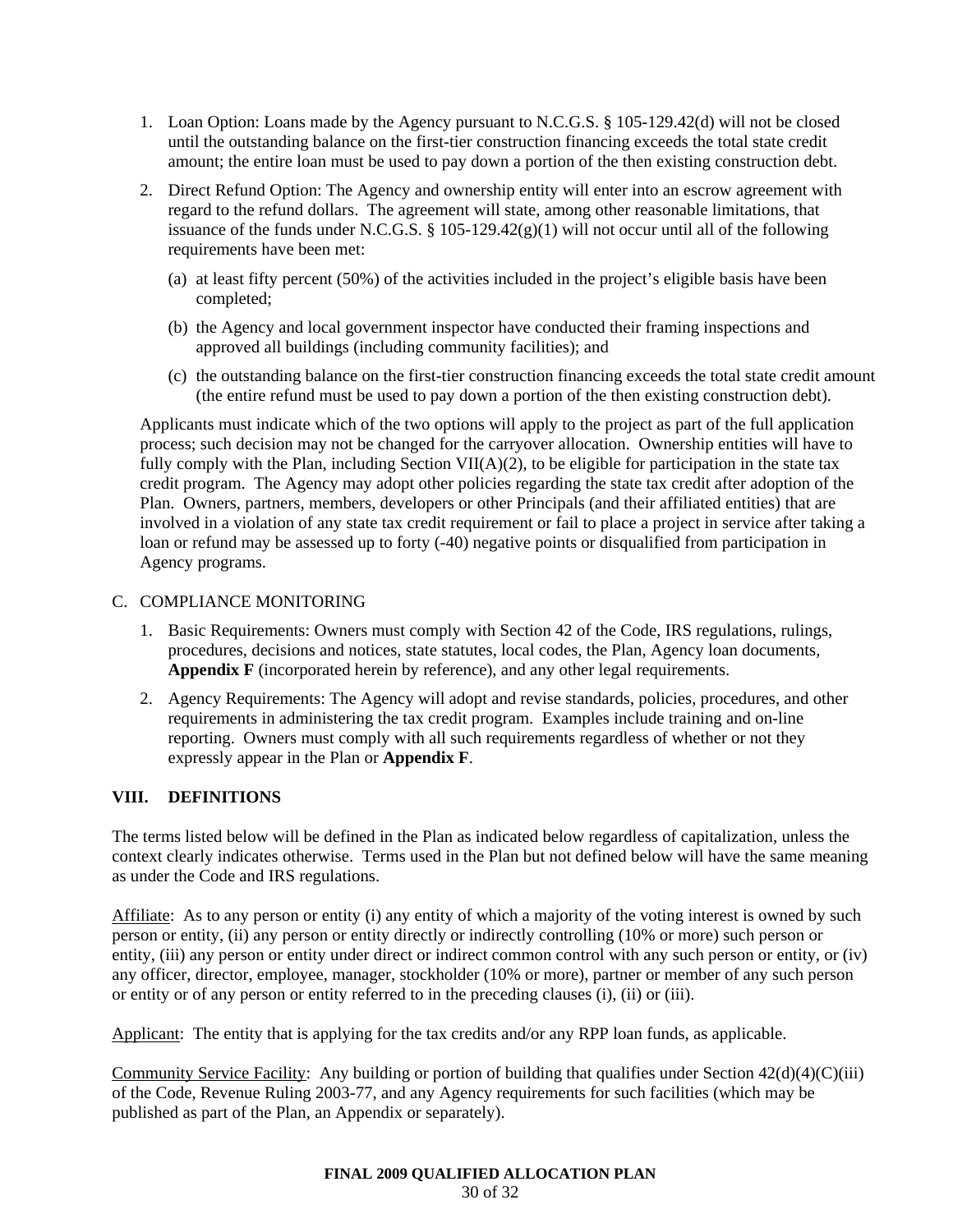- 1. Loan Option: Loans made by the Agency pursuant to N.C.G.S. § 105-129.42(d) will not be closed until the outstanding balance on the first-tier construction financing exceeds the total state credit amount; the entire loan must be used to pay down a portion of the then existing construction debt.
- 2. Direct Refund Option: The Agency and ownership entity will enter into an escrow agreement with regard to the refund dollars. The agreement will state, among other reasonable limitations, that issuance of the funds under N.C.G.S.  $\S$  105-129.42(g)(1) will not occur until all of the following requirements have been met:
	- (a) at least fifty percent (50%) of the activities included in the project's eligible basis have been completed;
	- (b) the Agency and local government inspector have conducted their framing inspections and approved all buildings (including community facilities); and
	- (c) the outstanding balance on the first-tier construction financing exceeds the total state credit amount (the entire refund must be used to pay down a portion of the then existing construction debt).

Applicants must indicate which of the two options will apply to the project as part of the full application process; such decision may not be changed for the carryover allocation. Ownership entities will have to fully comply with the Plan, including Section VII( $A$ )(2), to be eligible for participation in the state tax credit program. The Agency may adopt other policies regarding the state tax credit after adoption of the Plan. Owners, partners, members, developers or other Principals (and their affiliated entities) that are involved in a violation of any state tax credit requirement or fail to place a project in service after taking a loan or refund may be assessed up to forty (-40) negative points or disqualified from participation in Agency programs.

# C. COMPLIANCE MONITORING

- 1. Basic Requirements: Owners must comply with Section 42 of the Code, IRS regulations, rulings, procedures, decisions and notices, state statutes, local codes, the Plan, Agency loan documents, **Appendix F** (incorporated herein by reference), and any other legal requirements.
- 2. Agency Requirements: The Agency will adopt and revise standards, policies, procedures, and other requirements in administering the tax credit program. Examples include training and on-line reporting. Owners must comply with all such requirements regardless of whether or not they expressly appear in the Plan or **Appendix F**.

# **VIII. DEFINITIONS**

The terms listed below will be defined in the Plan as indicated below regardless of capitalization, unless the context clearly indicates otherwise. Terms used in the Plan but not defined below will have the same meaning as under the Code and IRS regulations.

Affiliate: As to any person or entity (i) any entity of which a majority of the voting interest is owned by such person or entity, (ii) any person or entity directly or indirectly controlling (10% or more) such person or entity, (iii) any person or entity under direct or indirect common control with any such person or entity, or (iv) any officer, director, employee, manager, stockholder (10% or more), partner or member of any such person or entity or of any person or entity referred to in the preceding clauses (i), (ii) or (iii).

Applicant: The entity that is applying for the tax credits and/or any RPP loan funds, as applicable.

Community Service Facility: Any building or portion of building that qualifies under Section 42(d)(4)(C)(iii) of the Code, Revenue Ruling 2003-77, and any Agency requirements for such facilities (which may be published as part of the Plan, an Appendix or separately).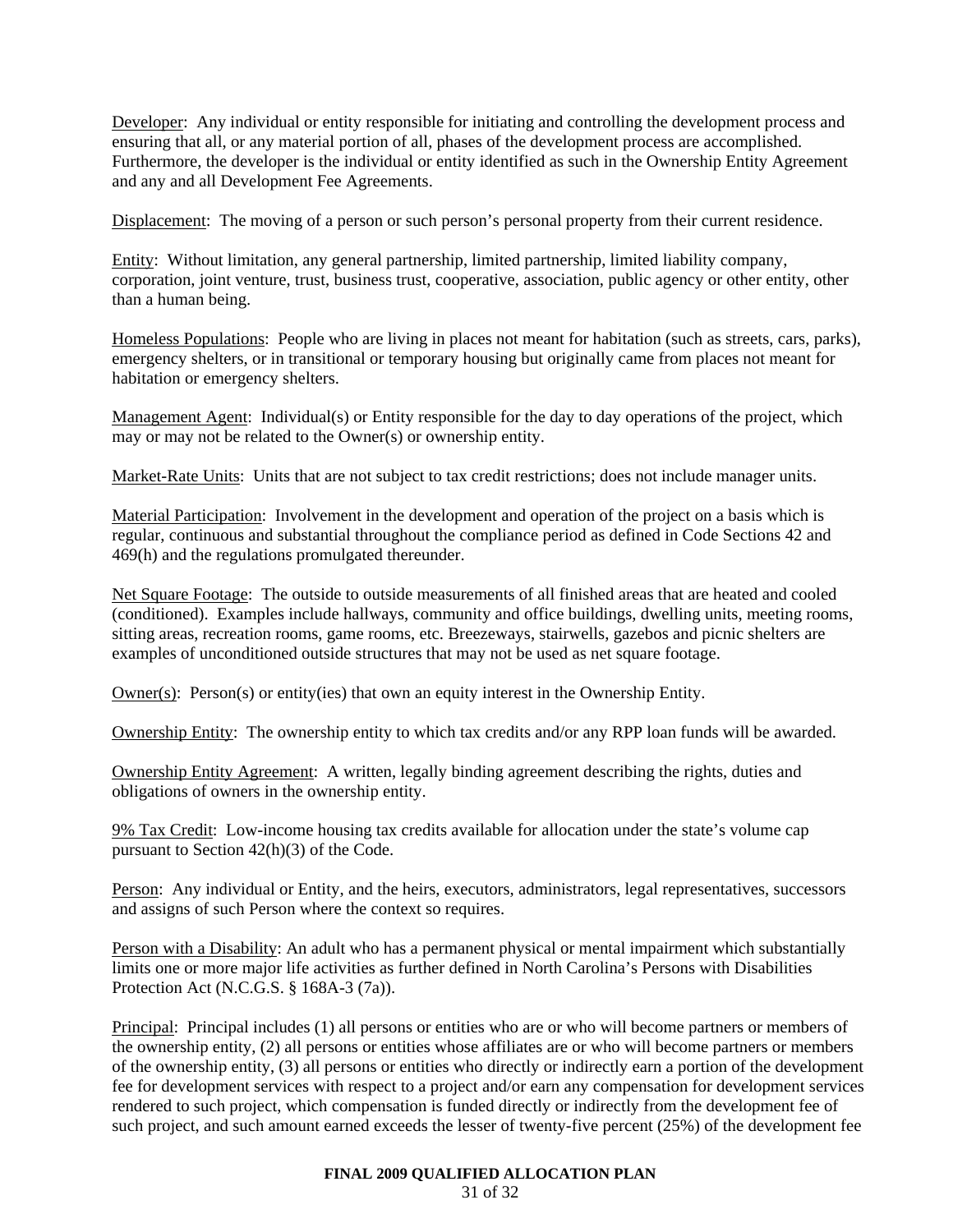Developer: Any individual or entity responsible for initiating and controlling the development process and ensuring that all, or any material portion of all, phases of the development process are accomplished. Furthermore, the developer is the individual or entity identified as such in the Ownership Entity Agreement and any and all Development Fee Agreements.

Displacement: The moving of a person or such person's personal property from their current residence.

Entity: Without limitation, any general partnership, limited partnership, limited liability company, corporation, joint venture, trust, business trust, cooperative, association, public agency or other entity, other than a human being.

Homeless Populations: People who are living in places not meant for habitation (such as streets, cars, parks), emergency shelters, or in transitional or temporary housing but originally came from places not meant for habitation or emergency shelters.

Management Agent: Individual(s) or Entity responsible for the day to day operations of the project, which may or may not be related to the Owner(s) or ownership entity.

Market-Rate Units: Units that are not subject to tax credit restrictions; does not include manager units.

Material Participation: Involvement in the development and operation of the project on a basis which is regular, continuous and substantial throughout the compliance period as defined in Code Sections 42 and 469(h) and the regulations promulgated thereunder.

Net Square Footage: The outside to outside measurements of all finished areas that are heated and cooled (conditioned). Examples include hallways, community and office buildings, dwelling units, meeting rooms, sitting areas, recreation rooms, game rooms, etc. Breezeways, stairwells, gazebos and picnic shelters are examples of unconditioned outside structures that may not be used as net square footage.

Owner(s): Person(s) or entity(ies) that own an equity interest in the Ownership Entity.

Ownership Entity: The ownership entity to which tax credits and/or any RPP loan funds will be awarded.

Ownership Entity Agreement: A written, legally binding agreement describing the rights, duties and obligations of owners in the ownership entity.

9% Tax Credit: Low-income housing tax credits available for allocation under the state's volume cap pursuant to Section 42(h)(3) of the Code.

Person: Any individual or Entity, and the heirs, executors, administrators, legal representatives, successors and assigns of such Person where the context so requires.

Person with a Disability: An adult who has a permanent physical or mental impairment which substantially limits one or more major life activities as further defined in North Carolina's Persons with Disabilities Protection Act (N.C.G.S. § 168A-3 (7a)).

Principal: Principal includes (1) all persons or entities who are or who will become partners or members of the ownership entity, (2) all persons or entities whose affiliates are or who will become partners or members of the ownership entity, (3) all persons or entities who directly or indirectly earn a portion of the development fee for development services with respect to a project and/or earn any compensation for development services rendered to such project, which compensation is funded directly or indirectly from the development fee of such project, and such amount earned exceeds the lesser of twenty-five percent (25%) of the development fee

#### **FINAL 2009 QUALIFIED ALLOCATION PLAN**

31 of 32